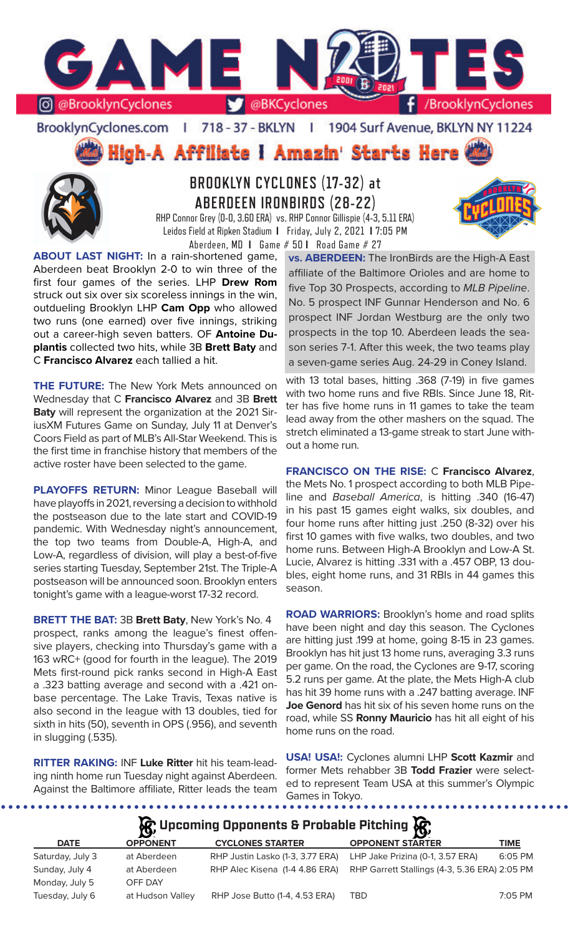

BrooklynCyclones.com | 718 - 37 - BKLYN | 1904 Surf Avenue, BKLYN NY 11224

High-A Affiliate I Amazin' Starts Here



# **BROOKLYN CYCLONES (17-32) at ABERDEEN IRONBIRDS (28-22)**

RHP Connor Grey (0-0, 3.60 ERA) vs. RHP Connor Gillispie (4-3, 5.11 ERA) Leidos Field at Ripken Stadium **I** Friday, July 2, 2021 **I** 7:05 PM Aberdeen, MD **I** Game # 50 **I** Road Game # 27

**ABOUT LAST NIGHT:** In a rain-shortened game, Aberdeen beat Brooklyn 2-0 to win three of the first four games of the series. LHP **Drew Rom**  struck out six over six scoreless innings in the win, outdueling Brooklyn LHP **Cam Opp** who allowed two runs (one earned) over five innings, striking out a career-high seven batters. OF **Antoine Duplantis** collected two hits, while 3B **Brett Baty** and C **Francisco Alvarez** each tallied a hit.

**THE FUTURE:** The New York Mets announced on Wednesday that C **Francisco Alvarez** and 3B **Brett Baty** will represent the organization at the 2021 SiriusXM Futures Game on Sunday, July 11 at Denver's Coors Field as part of MLB's All-Star Weekend. This is the first time in franchise history that members of the active roster have been selected to the game.

**PLAYOFFS RETURN:** Minor League Baseball will have playoffs in 2021, reversing a decision to withhold the postseason due to the late start and COVID-19 pandemic. With Wednesday night's announcement, the top two teams from Double-A, High-A, and Low-A, regardless of division, will play a best-of-five series starting Tuesday, September 21st. The Triple-A postseason will be announced soon. Brooklyn enters tonight's game with a league-worst 17-32 record.

**BRETT THE BAT:** 3B **Brett Baty**, New York's No. 4 prospect, ranks among the league's finest offensive players, checking into Thursday's game with a 163 wRC+ (good for fourth in the league). The 2019 Mets first-round pick ranks second in High-A East a .323 batting average and second with a .421 onbase percentage. The Lake Travis, Texas native is also second in the league with 13 doubles, tied for sixth in hits (50), seventh in OPS (.956), and seventh in slugging (.535).

**RITTER RAKING:** INF **Luke Ritter** hit his team-leading ninth home run Tuesday night against Aberdeen. Against the Baltimore affiliate, Ritter leads the team Games in Tokyo.

**vs. ABERDEEN:** The IronBirds are the High-A East affiliate of the Baltimore Orioles and are home to five Top 30 Prospects, according to *MLB Pipeline*. No. 5 prospect INF Gunnar Henderson and No. 6 prospect INF Jordan Westburg are the only two prospects in the top 10. Aberdeen leads the season series 7-1. After this week, the two teams play a seven-game series Aug. 24-29 in Coney Island.

with 13 total bases, hitting .368 (7-19) in five games with two home runs and five RBIs. Since June 18, Ritter has five home runs in 11 games to take the team lead away from the other mashers on the squad. The stretch eliminated a 13-game streak to start June without a home run.

**FRANCISCO ON THE RISE:** C **Francisco Alvarez**, the Mets No. 1 prospect according to both MLB Pipeline and *Baseball America*, is hitting .340 (16-47) in his past 15 games eight walks, six doubles, and four home runs after hitting just .250 (8-32) over his first 10 games with five walks, two doubles, and two home runs. Between High-A Brooklyn and Low-A St. Lucie, Alvarez is hitting .331 with a .457 OBP, 13 doubles, eight home runs, and 31 RBIs in 44 games this season.

**ROAD WARRIORS:** Brooklyn's home and road splits have been night and day this season. The Cyclones are hitting just .199 at home, going 8-15 in 23 games. Brooklyn has hit just 13 home runs, averaging 3.3 runs per game. On the road, the Cyclones are 9-17, scoring 5.2 runs per game. At the plate, the Mets High-A club has hit 39 home runs with a .247 batting average. INF **Joe Genord** has hit six of his seven home runs on the road, while SS **Ronny Mauricio** has hit all eight of his home runs on the road.

**USA! USA!:** Cyclones alumni LHP **Scott Kazmir** and former Mets rehabber 3B **Todd Frazier** were selected to represent Team USA at this summer's Olympic

...................

## **A**: Upcoming Opponents & Probable Pitching  $\mathbb{R}$

| <b>DATE</b>      | $\mathbf{r}$<br><b>OPPONENT</b> | <b>CYCLONES STARTER</b>          | $\mathbf{v}$<br><b>OPPONENT STARTER</b>       | <b>TIME</b> |
|------------------|---------------------------------|----------------------------------|-----------------------------------------------|-------------|
| Saturday, July 3 | at Aberdeen                     | RHP Justin Lasko (1-3, 3.77 ERA) | LHP Jake Prizina (0-1, 3.57 ERA)              | 6:05 PM     |
| Sunday, July 4   | at Aberdeen                     | RHP Alec Kisena (1-4 4.86 ERA)   | RHP Garrett Stallings (4-3, 5.36 ERA) 2:05 PM |             |
| Monday, July 5   | OFF DAY                         |                                  |                                               |             |
| Tuesday, July 6  | at Hudson Valley                | RHP Jose Butto (1-4, 4.53 ERA)   | TBD                                           | $7:05$ PM   |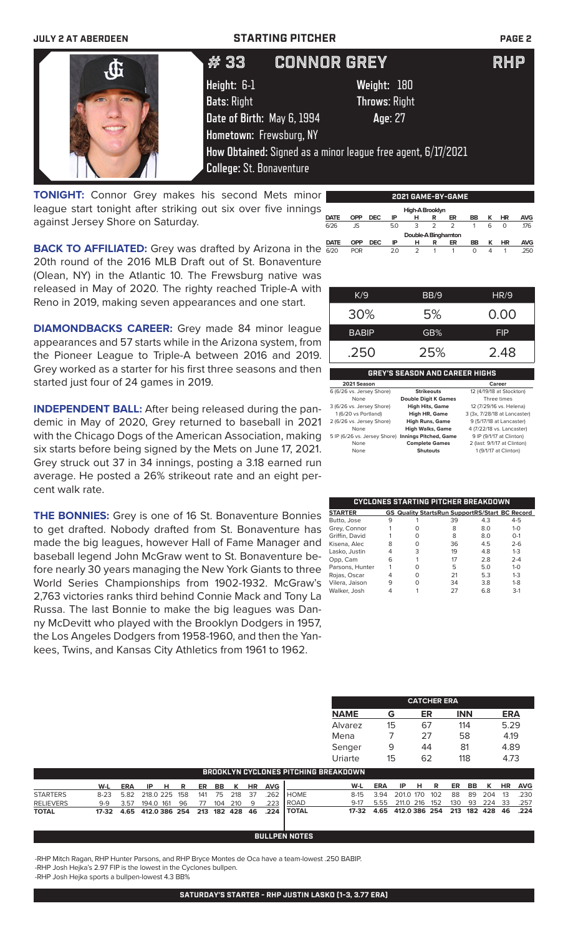# **JULY 2 AT ABERDEEN STARTING PITCHER PAGE 2 Height:** 6-1 **Weight:** 180 **Bats**: Right **Throws**: Right **Date of Birth:** May 6, 1994 **Age**: 27 **Hometown:** Frewsburg, NY **How Obtained:** Signed as a minor league free agent, 6/17/2021 **College:** St. Bonaventure  $\#$  33  $\;$  CONNOR GREY  $\;$  RHP

**TONIGHT:** Connor Grey makes his second Mets minor league start tonight after striking out six over five innings against Jersey Shore on Saturday.

**BACK TO AFFILIATED:** Grey was drafted by Arizona in the  $\frac{DATE}{6/20}$ 20th round of the 2016 MLB Draft out of St. Bonaventure (Olean, NY) in the Atlantic 10. The Frewsburg native was released in May of 2020. The righty reached Triple-A with Reno in 2019, making seven appearances and one start.

**DIAMONDBACKS CAREER:** Grey made 84 minor league appearances and 57 starts while in the Arizona system, from the Pioneer League to Triple-A between 2016 and 2019. Grey worked as a starter for his first three seasons and then started just four of 24 games in 2019.

**INDEPENDENT BALL:** After being released during the pandemic in May of 2020, Grey returned to baseball in 2021 with the Chicago Dogs of the American Association, making six starts before being signed by the Mets on June 17, 2021. Grey struck out 37 in 34 innings, posting a 3.18 earned run average. He posted a 26% strikeout rate and an eight percent walk rate.

**THE BONNIES:** Grey is one of 16 St. Bonaventure Bonnies to get drafted. Nobody drafted from St. Bonaventure has made the big leagues, however Hall of Fame Manager and baseball legend John McGraw went to St. Bonaventure before nearly 30 years managing the New York Giants to three World Series Championships from 1902-1932. McGraw's 2,763 victories ranks third behind Connie Mack and Tony La Russa. The last Bonnie to make the big leagues was Danny McDevitt who played with the Brooklyn Dodgers in 1957, the Los Angeles Dodgers from 1958-1960, and then the Yankees, Twins, and Kansas City Athletics from 1961 to 1962.

**2021 GAME-BY-GAME Double-A Binghamton**<br> **OPP DEC IP H R ER DATE OPP DEC IP H R ER BB K HR AVG** 6/20 POR 2.0 2 1 1 0 4 1 .250 **High-A Brook**<br>**DATE OPP DEC IP H R DATE OPP DEC IP H R ER BB K HR AVG** 6/26 JS 5.0 3 2 2 1 6 0 .176

| K/9          | BB/9 | HR/9       |
|--------------|------|------------|
| 30%          | 5%   | 0.00       |
| <b>BABIP</b> | GB%  | <b>FIP</b> |
| .250         | 25%  | 2.48       |

### **GREY'S SEASON AND CAREER HIGHS**

| 2021 Season                                        |                             | Career                       |
|----------------------------------------------------|-----------------------------|------------------------------|
| 6 (6/26 vs. Jersey Shore)                          | <b>Strikeouts</b>           | 12 (4/19/18 at Stockton)     |
| None                                               | <b>Double Digit K Games</b> | Three times                  |
| 3 (6/26 vs. Jersey Shore)                          | <b>High Hits, Game</b>      | 12 (7/29/16 vs. Helena)      |
| 1 (6/20 vs Portland)                               | High HR, Game               | 3 (3x, 7/28/18 at Lancaster) |
| 2 (6/26 vs. Jersey Shore)                          | <b>High Runs, Game</b>      | 9 (5/17/18 at Lancaster)     |
| None                                               | <b>High Walks, Game</b>     | 4 (7/22/18 vs. Lancaster)    |
| 5 IP (6/26 vs. Jersey Shore) Innings Pitched, Game |                             | 9 IP (9/1/17 at Clinton)     |
| None                                               | <b>Complete Games</b>       | 2 (last: 9/1/17 at Clinton)  |
| None                                               | <b>Shutouts</b>             | 1 (9/1/17 at Clinton)        |

| CYCLONES STARTING PITCHER BREAKDOWN |   |          |                                                       |     |         |  |  |  |  |  |
|-------------------------------------|---|----------|-------------------------------------------------------|-----|---------|--|--|--|--|--|
| <b>STARTER</b>                      |   |          | <b>GS Quality StartsRun SupportRS/Start BC Record</b> |     |         |  |  |  |  |  |
| Butto, Jose                         | 9 |          | 39                                                    | 4.3 | $4 - 5$ |  |  |  |  |  |
| Grey, Connor                        |   | Ω        | 8                                                     | 8.0 | $1 - 0$ |  |  |  |  |  |
| Griffin, David                      |   | ∩        | 8                                                     | 8.0 | $O-1$   |  |  |  |  |  |
| Kisena, Alec                        | 8 | $\Omega$ | 36                                                    | 4.5 | $2 - 6$ |  |  |  |  |  |
| Lasko, Justin                       | 4 | 3        | 19                                                    | 4.8 | $1 - 3$ |  |  |  |  |  |
| Opp, Cam                            | 6 |          | 17                                                    | 2.8 | $2 - 4$ |  |  |  |  |  |
| Parsons, Hunter                     |   | ∩        | 5                                                     | 5.0 | $1 - 0$ |  |  |  |  |  |
| Rojas, Oscar                        | 4 | ∩        | 21                                                    | 5.3 | $1 - 3$ |  |  |  |  |  |
| Vilera, Jaison                      | 9 | Ω        | 34                                                    | 3.8 | $1 - 8$ |  |  |  |  |  |
| Walker, Josh                        |   |          | 27                                                    | 6.8 | $3-1$   |  |  |  |  |  |

| <b>CATCHER ERA</b> |         |    |            |            |  |  |  |  |  |
|--------------------|---------|----|------------|------------|--|--|--|--|--|
| <b>NAME</b>        | G       | ER | <b>INN</b> | <b>ERA</b> |  |  |  |  |  |
| Alvarez            | 15      | 67 | 114        | 5.29       |  |  |  |  |  |
| Mena               |         | 27 | 58         | 4.19       |  |  |  |  |  |
| Senger             | 9       | 44 | 81         | 4.89       |  |  |  |  |  |
| Uriarte            | $15 \,$ | 62 | 118        | 4.73       |  |  |  |  |  |

| <b>BROOKLYN CYCLONES PITCHING BREAKDOWN</b> |     |                                       |                 |  |  |    |  |           |  |               |                                                              |                                              |                         |                            |  |               |         |           |            |
|---------------------------------------------|-----|---------------------------------------|-----------------|--|--|----|--|-----------|--|---------------|--------------------------------------------------------------|----------------------------------------------|-------------------------|----------------------------|--|---------------|---------|-----------|------------|
|                                             | W-L |                                       | ERA IPHR ER BBK |  |  |    |  |           |  | <b>HR AVG</b> |                                                              | W-L                                          | ERA                     | IPHR                       |  |               | ER BB K | <b>HR</b> | <b>AVG</b> |
| <b>STARTERS</b>                             |     | 8-23 5.82 218.0 225 158 141 75 218 37 |                 |  |  |    |  |           |  | 262           | <b>I</b> HOME                                                | $8-15$                                       | 3.94                    | 201.0 170 102 88 89 204 13 |  |               |         |           | .230       |
| <b>RELIEVERS</b>                            |     | 9-9 3.57 194.0 161 96                 |                 |  |  | 77 |  | 104 210 9 |  | .223          | <b>IROAD</b>                                                 |                                              | 9-17 5.55 211.0 216 152 |                            |  | 130 93 224 33 |         |           | .257       |
| <b>TOTAL</b>                                |     |                                       |                 |  |  |    |  |           |  |               | 17-32  4.65  412.0  386  254  213  182  428  46  .224  TOTAL | 17-32 4.65 412.0 386 254 213 182 428 46 .224 |                         |                            |  |               |         |           |            |

### **BULLPEN NOTES**

-RHP Mitch Ragan, RHP Hunter Parsons, and RHP Bryce Montes de Oca have a team-lowest .250 BABIP.

-RHP Josh Hejka's 2.97 FIP is the lowest in the Cyclones bullpen.

-RHP Josh Hejka sports a bullpen-lowest 4.3 BB%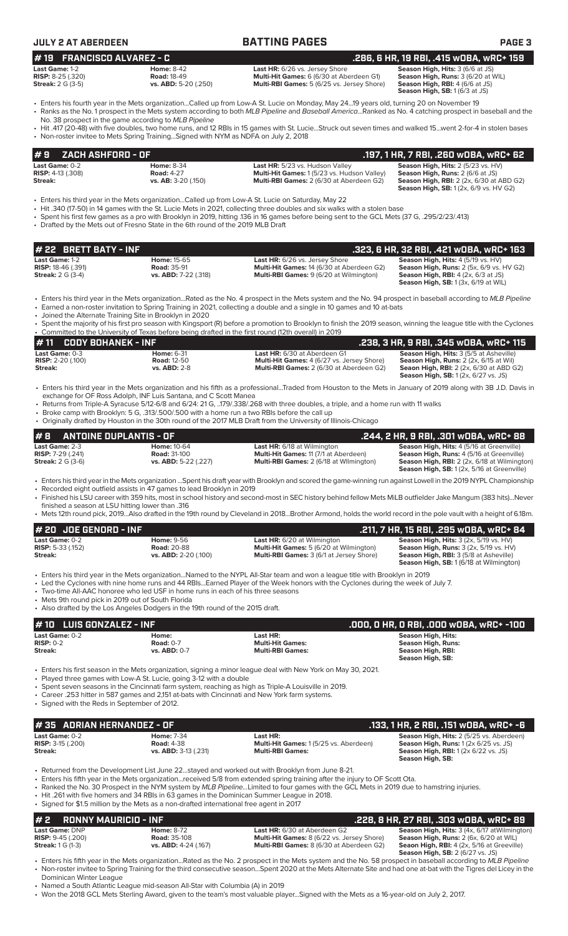| <b>JULY 2 AT ABERDEEN</b>                                               |                                                                                                                                                                                         | <b>BATTING PAGES</b>                                                                                                                                                                                                                                                                                                                                                                                                    | <b>PAGE 3</b>                                                                                                                                                                         |
|-------------------------------------------------------------------------|-----------------------------------------------------------------------------------------------------------------------------------------------------------------------------------------|-------------------------------------------------------------------------------------------------------------------------------------------------------------------------------------------------------------------------------------------------------------------------------------------------------------------------------------------------------------------------------------------------------------------------|---------------------------------------------------------------------------------------------------------------------------------------------------------------------------------------|
| <b>FRANCISCO ALVAREZ - C</b><br># 19                                    |                                                                                                                                                                                         |                                                                                                                                                                                                                                                                                                                                                                                                                         | .286, 6 HR, 19 RBI, .415 WOBA, WRC+ 159                                                                                                                                               |
| Last Game: 1-2<br><b>RISP:</b> 8-25 (.320)<br><b>Streak:</b> 2 G (3-5)  | <b>Home: 8-42</b><br><b>Road: 18-49</b><br>vs. ABD: 5-20 (.250)                                                                                                                         | Last HR: 6/26 vs. Jersey Shore<br>Multi-Hit Games: 6 (6/30 at Aberdeen G1)<br>Multi-RBI Games: 5 (6/25 vs. Jersey Shore)                                                                                                                                                                                                                                                                                                | Season High, Hits: 3 (6/6 at JS)<br>Season High, Runs: 3 (6/20 at WIL)<br>Season High, RBI: 4 (6/6 at JS)<br>Season High, SB: 1 (6/3 at JS)                                           |
|                                                                         | No. 38 prospect in the game according to MLB Pipeline                                                                                                                                   | Fiters his fourth year in the Mets organizationCalled up from Low-A St. Lucie on Monday, May 2419 years old, turning 20 on November 19<br>· Ranks as the No. 1 prospect in the Mets system according to both MLB Pipeline and Baseball AmericaRanked as No. 4 catching prospect in baseball and the                                                                                                                     |                                                                                                                                                                                       |
|                                                                         | • Non-roster invitee to Mets Spring TrainingSigned with NYM as NDFA on July 2, 2018                                                                                                     | • Hit .417 (20-48) with five doubles, two home runs, and 12 RBIs in 15 games with St. LucieStruck out seven times and walked 15went 2-for-4 in stolen bases                                                                                                                                                                                                                                                             |                                                                                                                                                                                       |
| ZACH ASHFORD - OF<br>#9                                                 |                                                                                                                                                                                         |                                                                                                                                                                                                                                                                                                                                                                                                                         | .197, 1 HR, 7 RBI, .260 w0BA, wRC+ 62                                                                                                                                                 |
| Last Game: 0-2<br><b>RISP:</b> 4-13 (.308)<br><b>Streak:</b>            | <b>Home: 8-34</b><br><b>Road: 4-27</b><br>vs. AB: 3-20 (.150)                                                                                                                           | Last HR: 5/23 vs. Hudson Valley<br>Multi-Hit Games: 1 (5/23 vs. Hudson Valley)<br>Multi-RBI Games: 2 (6/30 at Aberdeen G2)                                                                                                                                                                                                                                                                                              | Season High, Hits: 2 (5/23 vs. HV)<br>Season High, Runs: 2 (6/6 at JS)<br>Season High, RBI: 2 (2x, 6/30 at ABD G2)                                                                    |
|                                                                         | • Drafted by the Mets out of Fresno State in the 6th round of the 2019 MLB Draft                                                                                                        | · Enters his third year in the Mets organizationCalled up from Low-A St. Lucie on Saturday, May 22<br>• Hit .340 (17-50) in 14 games with the St. Lucie Mets in 2021, collecting three doubles and six walks with a stolen base<br>• Spent his first few games as a pro with Brooklyn in 2019, hitting 136 in 16 games before being sent to the GCL Mets (37 G, .295/2/23/.413)                                         | <b>Season High, SB:</b> 1 (2x, 6/9 vs. HV G2)                                                                                                                                         |
| # 22 BRETT BATY - INF                                                   |                                                                                                                                                                                         |                                                                                                                                                                                                                                                                                                                                                                                                                         | .323, 6 HR, 32 RBI, .421 wOBA, wRC+ 163                                                                                                                                               |
| Last Game: 1-2<br><b>RISP: 18-46 (.391)</b><br><b>Streak:</b> 2 G (3-4) | Home: 15-65<br><b>Road: 35-91</b><br>vs. ABD: 7-22 (.318)                                                                                                                               | Last HR: 6/26 vs. Jersey Shore<br>Multi-Hit Games: 14 (6/30 at Aberdeen G2)<br>Multi-RBI Games: 9 (6/20 at Wilmington)                                                                                                                                                                                                                                                                                                  | Season High, Hits: 4 (5/19 vs. HV)<br>Season High, Runs: 2 (5x, 6/9 vs. HV G2)<br><b>Season High, RBI:</b> $4$ (2x, $6/3$ at JS)<br><b>Season High, SB:</b> 1 (3x, 6/19 at WIL)       |
|                                                                         | • Joined the Alternate Training Site in Brooklyn in 2020                                                                                                                                | • Enters his third year in the Mets organizationRated as the No. 4 prospect in the Mets system and the No. 94 prospect in baseball according to MLB Pipeline<br>• Earned a non-roster invitation to Spring Training in 2021, collecting a double and a single in 10 games and 10 at-bats                                                                                                                                |                                                                                                                                                                                       |
|                                                                         | Oommitted to the University of Texas before being drafted in the first round (12th overall) in 2019                                                                                     | • Spent the majority of his first pro season with Kingsport (R) before a promotion to Brooklyn to finish the 2019 season, winning the league title with the Cyclones                                                                                                                                                                                                                                                    |                                                                                                                                                                                       |
| #11<br><b>CODY BOHANEK - INF</b>                                        |                                                                                                                                                                                         |                                                                                                                                                                                                                                                                                                                                                                                                                         | .238, 3 HR, 9 RBI, .345 wOBA, wRC+ 115                                                                                                                                                |
| Last Game: 0-3<br>RISP: 2-20 (.100)<br>Streak:                          | <b>Home: 6-31</b><br><b>Road: 12-50</b><br><b>vs. ABD: 2-8</b>                                                                                                                          | Last HR: 6/30 at Aberdeen G1<br>Multi-Hit Games: 4 (6/27 vs. Jersey Shore)<br>Multi-RBI Games: 2 (6/30 at Aberdeen G2)                                                                                                                                                                                                                                                                                                  | Season High, Hits: 3 (5/5 at Asheville)<br>Season High, Runs: 2 (2x, 6/15 at Wil)<br>Seaon High, RBI: 2 (2x, 6/30 at ABD G2)<br><b>Season High, SB:</b> 1 (2x, 6/27 vs. JS)           |
|                                                                         | exchange for OF Ross Adolph, INF Luis Santana, and C Scott Manea<br>• Broke camp with Brooklyn: 5 G, .313/.500/.500 with a home run a two RBIs before the call up                       | · Enters his third year in the Mets organization and his fifth as a professionalTraded from Houston to the Mets in January of 2019 along with 3B J.D. Davis in<br>• Returns from Triple-A Syracuse 5/12-6/8 and 6/24: 21 G, 179/.338/.268 with three doubles, a triple, and a home run with 11 walks<br>• Originally drafted by Houston in the 30th round of the 2017 MLB Draft from the University of Illinois-Chicago |                                                                                                                                                                                       |
| #8                                                                      | <b>ANTOINE DUPLANTIS - OF</b>                                                                                                                                                           |                                                                                                                                                                                                                                                                                                                                                                                                                         | .244, 2 HR, 9 RBI, .301 wOBA, wRC+ 88                                                                                                                                                 |
| Last Game: 2-3<br>RISP: 7-29 (.241)<br><b>Streak:</b> 2 G (3-6)         | Home: 10-64<br><b>Road: 31-100</b><br>vs. ABD: 5-22 (.227)                                                                                                                              | Last HR: 6/18 at Wilmington<br>Multi-Hit Games: 11 (7/1 at Aberdeen)<br>Multi-RBI Games: 2 (6/18 at Wilmington)                                                                                                                                                                                                                                                                                                         | Season High, Hits: 4 (5/16 at Greenville)<br>Season High, Runs: 4 (5/16 at Greenville)<br>Season High, RBI: 2 (2x, 6/18 at Wilmington)<br>Season High, SB: 1 (2x, 5/16 at Greenville) |
|                                                                         | • Recorded eight outfield assists in 47 games to lead Brooklyn in 2019                                                                                                                  | · Enters his third year in the Mets organization Spent his draft year with Brooklyn and scored the game-winning run against Lowell in the 2019 NYPL Championship<br>• Finished his LSU career with 359 hits, most in school history and second-most in SEC history behind fellow Mets MiLB outfielder Jake Mangum (383 hits)Never                                                                                       |                                                                                                                                                                                       |
| finished a season at LSU hitting lower than .316                        |                                                                                                                                                                                         | • Mets 12th round pick, 2019Also drafted in the 19th round by Cleveland in 2018Brother Armond, holds the world record in the pole vault with a height of 6.18m.                                                                                                                                                                                                                                                         |                                                                                                                                                                                       |
| # 20 JOE GENORD - INF                                                   |                                                                                                                                                                                         |                                                                                                                                                                                                                                                                                                                                                                                                                         | .211, 7 HR, 15 RBI, .295 wOBA, wRC+ 84                                                                                                                                                |
| Last Game: 0-2<br><b>RISP: 5-33 (.152)</b><br>Streak:                   | Home: 9-56<br>Road: 20-88<br>vs. ABD: 2-20 (.100)                                                                                                                                       | Last HR: 6/20 at Wilmington<br>Multi-Hit Games: 5 (6/20 at Wilmington)<br>Multi-RBI Games: 3 (6/1 at Jersey Shore)                                                                                                                                                                                                                                                                                                      | Season High, Hits: 3 (2x, 5/19 vs. HV)<br>Season High, Runs: 3 (2x, 5/19 vs. HV)<br>Season High, RBI: 3 (5/8 at Asheville)<br>Season High, SB: 1 (6/18 at Wilmington)                 |
| • Mets 9th round pick in 2019 out of South Florida                      | • Two-time All-AAC honoree who led USF in home runs in each of his three seasons<br>• Also drafted by the Los Angeles Dodgers in the 19th round of the 2015 draft.                      | • Enters his third year in the Mets organizationNamed to the NYPL All-Star team and won a league title with Brooklyn in 2019<br>• Led the Cyclones with nine home runs and 44 RBIsEarned Player of the Week honors with the Cyclones during the week of July 7.                                                                                                                                                         |                                                                                                                                                                                       |
| #10 LUIS GONZALEZ - INF                                                 |                                                                                                                                                                                         |                                                                                                                                                                                                                                                                                                                                                                                                                         | .000, 0 HR, 0 RBI, .000 w0BA, wRC+ -100                                                                                                                                               |
| Last Game: 0-2                                                          | Home:                                                                                                                                                                                   | Last HR:                                                                                                                                                                                                                                                                                                                                                                                                                | <b>Season High, Hits:</b>                                                                                                                                                             |
| <b>RISP: 0-2</b><br>Streak:                                             | <b>Road: 0-7</b><br>vs. ABD: 0-7                                                                                                                                                        | <b>Multi-Hit Games:</b><br><b>Multi-RBI Games:</b>                                                                                                                                                                                                                                                                                                                                                                      | <b>Season High, Runs:</b><br>Season High, RBI:<br>Season High, SB:                                                                                                                    |
| • Signed with the Reds in September of 2012.                            | • Played three games with Low-A St. Lucie, going 3-12 with a double<br>• Career .253 hitter in 587 games and 2,151 at-bats with Cincinnati and New York farm systems.                   | • Enters his first season in the Mets organization, signing a minor league deal with New York on May 30, 2021.<br>• Spent seven seasons in the Cincinnati farm system, reaching as high as Triple-A Louisville in 2019.                                                                                                                                                                                                 |                                                                                                                                                                                       |
| #35 ADRIAN HERNANDEZ - OF                                               |                                                                                                                                                                                         |                                                                                                                                                                                                                                                                                                                                                                                                                         | .133, 1 HR, 2 RBI, .151 wOBA, wRC+ -6                                                                                                                                                 |
| Last Game: 0-2<br>RISP: 3-15 (.200)<br>Streak:                          | <b>Home: 7-34</b><br><b>Road: 4-38</b><br>vs. ABD: 3-13 (.231)                                                                                                                          | Last HR:<br>Multi-Hit Games: 1 (5/25 vs. Aberdeen)<br><b>Multi-RBI Games:</b>                                                                                                                                                                                                                                                                                                                                           | Season High, Hits: 2 (5/25 vs. Aberdeen)<br>Season High, Runs: 1 (2x 6/25 vs. JS)<br><b>Season High, RBI:</b> 1 (2x 6/22 vs. JS)                                                      |
|                                                                         | • Hit .261 with five homers and 34 RBIs in 63 games in the Dominican Summer League in 2018.<br>• Signed for \$1.5 million by the Mets as a non-drafted international free agent in 2017 | • Returned from the Development List June 22stayed and worked out with Brooklyn from June 8-21.<br>• Enters his fifth year in the Mets organizationreceived 5/8 from extended spring training after the injury to OF Scott Ota.<br>• Ranked the No. 30 Prospect in the NYM system by MLB PipelineLimited to four games with the GCL Mets in 2019 due to hamstring injuries.                                             | Season High, SB:                                                                                                                                                                      |
| <b>RONNY MAURICIO - INF</b><br>#2                                       |                                                                                                                                                                                         |                                                                                                                                                                                                                                                                                                                                                                                                                         | .228, 8 HR, 27 RBI, .303 w0BA, wRC+ 89                                                                                                                                                |
| Last Game: DNP                                                          | <b>Home: 8-72</b>                                                                                                                                                                       | Last HR: 6/30 at Aberdeen G2                                                                                                                                                                                                                                                                                                                                                                                            | Season High, Hits: 3 (4x, 6/17 atWilmington)                                                                                                                                          |

**RISP:** 9-45 (.200) **Road:** 35-108 **Multi-Hit Games:** 8 (6/22 vs. Jersey Shore) **Season High, Runs:** 2 (6x, 6/20 at WIL) **Streak:** 1 G (1-3) **vs. ABD:** 4-24 (.167) **Multi-RBI Games:** 8 (6/30 at Aberdeen G2) **Seaon High, RBI:** 4 (2x, 5/16 at Greeville) **Season High, SB:** 2 (6/27 vs. JS)

• Enters his fifth year in the Mets organization...Rated as the No. 2 prospect in the Mets system and the No. 58 prospect in baseball according to *MLB Pipeline* • Non-roster invitee to Spring Training for the third consecutive season...Spent 2020 at the Mets Alternate Site and had one at-bat with the Tigres del Licey in the Dominican Winter League

• Named a South Atlantic League mid-season All-Star with Columbia (A) in 2019

• Won the 2018 GCL Mets Sterling Award, given to the team's most valuable player...Signed with the Mets as a 16-year-old on July 2, 2017.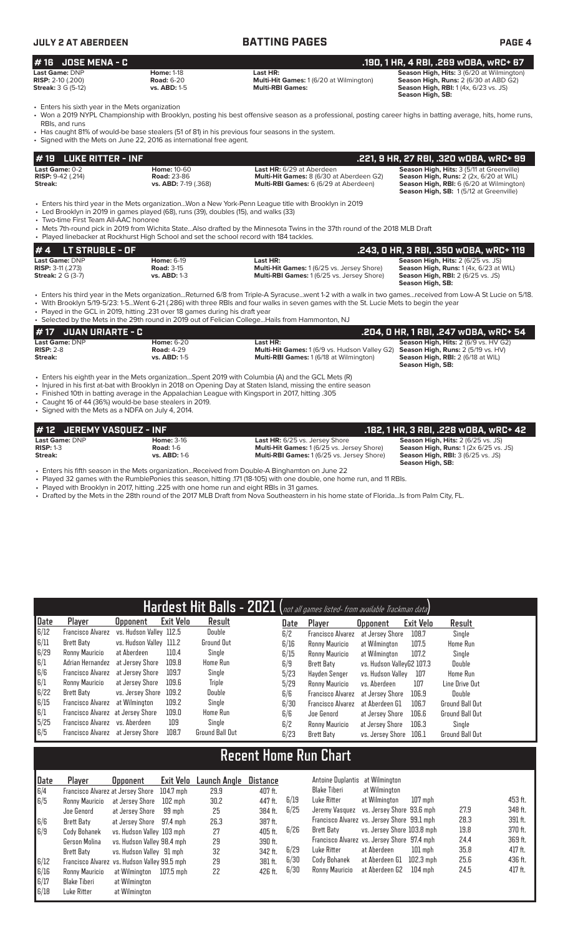| <b>JULY 2 AT ABERDEEN</b>                                                 |                                                               | <b>BATTING PAGES</b>                                                                                                                                         | PAGE 4                                                                                                                                                       |  |  |  |
|---------------------------------------------------------------------------|---------------------------------------------------------------|--------------------------------------------------------------------------------------------------------------------------------------------------------------|--------------------------------------------------------------------------------------------------------------------------------------------------------------|--|--|--|
| $#$ 16 JOSE MENA - C                                                      |                                                               |                                                                                                                                                              | .190, 1 HR, 4 RBI, .269 w0BA, wRC+ 67                                                                                                                        |  |  |  |
| Last Game: DNP<br><b>RISP:</b> $2-10$ (.200)<br><b>Streak: 3 G (5-12)</b> | <b>Home: 1-18</b><br><b>Road: 6-20</b><br><b>vs. ABD: 1-5</b> | Last HR:<br>Multi-Hit Games: 1 (6/20 at Wilmington)<br><b>Multi-RBI Games:</b>                                                                               | Season High, Hits: 3 (6/20 at Wilmington)<br><b>Season High, Runs: 2 (6/30 at ABD G2)</b><br><b>Season High, RBI:</b> 1(4x, 6/23 vs. JS)<br>Season High, SB: |  |  |  |
| • Enters his sixth year in the Mets organization                          |                                                               | • Won a 2019 NYPL Championship with Brooklyn, posting his best offensive season as a professional, posting career highs in batting average, hits, home runs, |                                                                                                                                                              |  |  |  |

RBIs, and runs • Has caught 81% of would-be base stealers (51 of 81) in his previous four seasons in the system.

| • Signed with the Mets on June 22, 2016 as international free agent.                                                                                                                                                                                                                                                                                                   |                                                                                                                                                                                                                                                                                                                                                                                                                                           |                                                                                                                                                                                                                                                                                                     |                                                                                                                                                                           |  |  |  |  |  |  |  |  |
|------------------------------------------------------------------------------------------------------------------------------------------------------------------------------------------------------------------------------------------------------------------------------------------------------------------------------------------------------------------------|-------------------------------------------------------------------------------------------------------------------------------------------------------------------------------------------------------------------------------------------------------------------------------------------------------------------------------------------------------------------------------------------------------------------------------------------|-----------------------------------------------------------------------------------------------------------------------------------------------------------------------------------------------------------------------------------------------------------------------------------------------------|---------------------------------------------------------------------------------------------------------------------------------------------------------------------------|--|--|--|--|--|--|--|--|
| <b>LUKE RITTER - INF</b><br># 19<br>.221, 9 HR, 27 RBI, .320 w0BA, wRC+ 99                                                                                                                                                                                                                                                                                             |                                                                                                                                                                                                                                                                                                                                                                                                                                           |                                                                                                                                                                                                                                                                                                     |                                                                                                                                                                           |  |  |  |  |  |  |  |  |
| Last Game: 0-2<br>RISP: 9-42 (.214)<br>Streak:                                                                                                                                                                                                                                                                                                                         | <b>Home: 10-60</b><br><b>Road: 23-86</b><br>vs. ABD: 7-19 (.368)                                                                                                                                                                                                                                                                                                                                                                          | Last HR: 6/29 at Aberdeen<br>Multi-Hit Games: 8 (6/30 at Aberdeen G2)<br>Multi-RBI Games: 6 (6/29 at Aberdeen)                                                                                                                                                                                      | Season High, Hits: 3 (5/11 at Greenville)<br>Season High, Runs: 2 (2x, 6/20 at WIL)<br>Season High, RBI: 6 (6/20 at Wilmington)<br>Season High, SB: 1(5/12 at Greenville) |  |  |  |  |  |  |  |  |
| • Enters his third year in the Mets organizationWon a New York-Penn League title with Brooklyn in 2019<br>• Led Brooklyn in 2019 in games played (68), runs (39), doubles (15), and walks (33)<br>• Two-time First Team All-AAC honoree<br>• Mets 7th-round pick in 2019 from Wichita StateAlso drafted by the Minnesota Twins in the 37th round of the 2018 MLB Draft |                                                                                                                                                                                                                                                                                                                                                                                                                                           |                                                                                                                                                                                                                                                                                                     |                                                                                                                                                                           |  |  |  |  |  |  |  |  |
| • Played linebacker at Rockhurst High School and set the school record with 184 tackles.                                                                                                                                                                                                                                                                               |                                                                                                                                                                                                                                                                                                                                                                                                                                           |                                                                                                                                                                                                                                                                                                     |                                                                                                                                                                           |  |  |  |  |  |  |  |  |
| #4<br>LT STRUBLE - OF                                                                                                                                                                                                                                                                                                                                                  |                                                                                                                                                                                                                                                                                                                                                                                                                                           |                                                                                                                                                                                                                                                                                                     | .243, 0 HR, 3 RBI, .350 w0BA, wRC+ 119                                                                                                                                    |  |  |  |  |  |  |  |  |
| Last Game: DNP<br><b>RISP: 3-11 (.273)</b><br><b>Streak: 2 G (3-7)</b>                                                                                                                                                                                                                                                                                                 | <b>Home: 6-19</b><br><b>Road: 3-15</b><br>vs. ABD: 1-3                                                                                                                                                                                                                                                                                                                                                                                    | Last HR:<br>Multi-Hit Games: 1 (6/25 vs. Jersey Shore)<br>Multi-RBI Games: 1 (6/25 vs. Jersey Shore)                                                                                                                                                                                                | Season High, Hits: 2 (6/25 vs. JS)<br>Season High, Runs: 1 (4x, 6/23 at WIL)<br><b>Season High, RBI: 2 (6/25 vs. JS)</b><br>Season High, SB:                              |  |  |  |  |  |  |  |  |
| . Played in the GCL in 2019, hitting .231 over 18 games during his draft year<br>• Selected by the Mets in the 29th round in 2019 out of Felician CollegeHails from Hammonton, NJ                                                                                                                                                                                      |                                                                                                                                                                                                                                                                                                                                                                                                                                           | • Enters his third year in the Mets organizationReturned 6/8 from Triple-A Syracusewent 1-2 with a walk in two gamesreceived from Low-A St Lucie on 5/18.<br>• With Brooklyn 5/19-5/23: 1-5Went 6-21 (.286) with three RBIs and four walks in seven games with the St. Lucie Mets to begin the year |                                                                                                                                                                           |  |  |  |  |  |  |  |  |
| <b>JUAN URIARTE - C</b><br>#17                                                                                                                                                                                                                                                                                                                                         |                                                                                                                                                                                                                                                                                                                                                                                                                                           |                                                                                                                                                                                                                                                                                                     | .204, 0 HR, 1 RBI, .247 w0BA, wRC+ 54                                                                                                                                     |  |  |  |  |  |  |  |  |
| Last Game: DNP<br><b>RISP: 2-8</b><br>Streak:                                                                                                                                                                                                                                                                                                                          | <b>Home: 6-20</b><br><b>Road: 4-29</b><br><b>vs. ABD: 1-5</b>                                                                                                                                                                                                                                                                                                                                                                             | Last HR:<br>Multi-Hit Games: 1 (6/9 vs. Hudson Valley G2)<br>Multi-RBI Games: 1 (6/18 at Wilmington)                                                                                                                                                                                                | Season High, Hits: 2 (6/9 vs. HV G2)<br>Season High, Runs: 2 (5/19 vs. HV)<br>Season High, RBI: 2 (6/18 at WIL)<br>Season High, SB:                                       |  |  |  |  |  |  |  |  |
|                                                                                                                                                                                                                                                                                                                                                                        | • Enters his eighth year in the Mets organizationSpent 2019 with Columbia (A) and the GCL Mets (R)<br>• Injured in his first at-bat with Brooklyn in 2018 on Opening Day at Staten Island, missing the entire season<br>. Finished 10th in batting average in the Appalachian League with Kingsport in 2017, hitting .305<br>• Caught 16 of 44 (36%) would-be base stealers in 2019.<br>• Signed with the Mets as a NDFA on July 4, 2014. |                                                                                                                                                                                                                                                                                                     |                                                                                                                                                                           |  |  |  |  |  |  |  |  |

| #12 JEREMY VASQUEZ - INF |                     |                                                  | .182, 1 HR, 3 RBI, .228 wOBA, wRC+ 42                 |
|--------------------------|---------------------|--------------------------------------------------|-------------------------------------------------------|
| Last Game: DNP           | <b>Home: 3-16</b>   | <b>Last HR:</b> 6/25 vs. Jersey Shore            | <b>Season High, Hits: 2 (6/25 vs. JS)</b>             |
| $RISP: 1-3$              | <b>Road: 1-6</b>    | <b>Multi-Hit Games: 1(6/25 vs. Jersey Shore)</b> | <b>Season High, Runs:</b> $1(2x 6/25 \text{ vs. JS})$ |
| Streak:                  | <b>vs. ABD: 1-6</b> | <b>Multi-RBI Games: 1(6/25 vs. Jersey Shore)</b> | <b>Season High, RBI: 3 (6/25 vs. JS)</b>              |
|                          |                     |                                                  | Season High, SB:                                      |

• Enters his fifth season in the Mets organization...Received from Double-A Binghamton on June 22

• Played 32 games with the RumblePonies this season, hitting .171 (18-105) with one double, one home run, and 11 RBIs.

• Played with Brooklyn in 2017, hitting .225 with one home run and eight RBIs in 31 games.

• Drafted by the Mets in the 28th round of the 2017 MLB Draft from Nova Southeastern in his home state of Florida...Is from Palm City, FL.

|      |                                           |                         |                  | $\overline{\mathsf{H}$ ardest $\overline{\mathsf{Hit}}$ Balls - 2021 (not all games listed- from available Trackman data) |      |                          |                           |           |                        |
|------|-------------------------------------------|-------------------------|------------------|---------------------------------------------------------------------------------------------------------------------------|------|--------------------------|---------------------------|-----------|------------------------|
| Date | Player                                    | <b>Opponent</b>         | <b>Exit Velo</b> | Result                                                                                                                    | Date | Player                   | <b>Opponent</b>           | Exit Velo | Result                 |
| 6/12 | Francisco Alvarez vs. Hudson Valley 112.5 |                         |                  | Double                                                                                                                    | 6/2  | <b>Francisco Alvarez</b> | at Jersev Shore           | 108.7     | Single                 |
| 6/11 | Brett Baty                                | vs. Hudson Valley 111.2 |                  | Ground Out                                                                                                                | 6/16 | Ronny Mauricio           | at Wilmington             | 107.5     | Home Run               |
| 6/29 | Ronny Mauricio                            | at Aberdeen             | 110.4            | Single                                                                                                                    | 6/15 | Ronny Mauricio           | at Wilmington             | 107.2     | Single                 |
| 6/1  | Adrian Hernandez                          | at Jersev Shore         | 109.8            | Home Run                                                                                                                  | 6/9  | Brett Batv               | vs. Hudson VallevG2 107.3 |           | Double                 |
| 6/6  | Francisco Alvarez                         | at Jersev Shore         | 109.7            | Single                                                                                                                    | 5/23 | Havden Senger            | vs. Hudson Vallev         | 107       | Home Run               |
| 6/1  | Ronny Mauricio                            | at Jersey Shore         | 109.6            | <b>Triple</b>                                                                                                             | 5/29 | Ronny Mauricio           | vs. Aberdeen              | 107       | Line Drive Out         |
| 6/22 | Brett Baty                                | vs. Jersey Shore        | 109.2            | Double                                                                                                                    | 6/6  | Francisco Alvarez        | at Jersey Shore           | 106.9     | Double                 |
| 6/15 | Francisco Alvarez                         | at Wilmington           | 109.2            | Single                                                                                                                    | 6/30 | <b>Francisco Alvarez</b> | at Aberdeen G1            | 106.7     | <b>Ground Ball Out</b> |
| 6/1  | Francisco Alvarez at Jersey Shore         |                         | 109.0            | Home Run                                                                                                                  | 6/6  | Joe Genord               | at Jersey Shore           | 106.6     | <b>Ground Ball Out</b> |
| 5/25 | Francisco Alvarez vs. Aberdeen            |                         | 109              | Single                                                                                                                    | 6/2  | Ronny Mauricio           | at Jersey Shore           | 106.3     | Single                 |
| 6/5  | Francisco Alvarez at Jersey Shore         |                         | 108.7            | Ground Ball Out                                                                                                           | 6/23 | Brett Baty               | vs. Jersev Shore          | 106.1     | <b>Ground Ball Out</b> |

# **Recent Home Run Chart**

| Date | Player                                       | <b>Opponent</b>            | Exit Velo | Launch Angle | Distance |      | Antoine Duplantis at Wilmington             |                            |             |      |         |
|------|----------------------------------------------|----------------------------|-----------|--------------|----------|------|---------------------------------------------|----------------------------|-------------|------|---------|
| 6/4  | Francisco Alvarez at Jersey Shore            |                            | 104.7 mph | 29.9         | 407 ft.  |      | Blake Tiberi                                | at Wilmington              |             |      |         |
| 6/5  | Ronny Mauricio                               | at Jersev Shore            | 102 mph   | 30.2         | 447 ft.  | 6/19 | Luke Ritter                                 | at Wilmington              | $107$ mph   |      | 453 ft. |
|      | Joe Genord                                   | at Jersev Shore            | 99 mph    | 25           | 384 ft.  | 6/25 | Jeremy Vasquez vs. Jersey Shore 93.6 mph    |                            |             | 27.9 | 348 ft. |
| 6/6  | Brett Baty                                   | at Jersey Shore 97.4 mph   |           | 26.3         | 387 ft.  |      | Francisco Alvarez vs. Jersey Shore 99.1 mph |                            |             | 28.3 | 391 ft. |
| 6/9  | Cody Bohanek                                 | vs. Hudson Valley 103 mph  |           | 27           | 405 ft.  | 6/26 | Brett Baty                                  | vs. Jersev Shore 103.8 mph |             | 19.8 | 370 ft. |
|      | Gerson Molina                                | vs. Hudson Valley 98.4 mph |           | 29           | 390 ft.  |      | Francisco Alvarez vs. Jersey Shore 97.4 mph |                            |             | 24.4 | 369 ft. |
|      | Brett Baty                                   | vs. Hudson Vallev 91 mph   |           | 32           | 342 ft.  | 6/29 | Luke Ritter                                 | at Aberdeen                | $101$ mph   | 35.8 | 417 ft. |
| 6/12 | Francisco Alvarez vs. Hudson Valley 99.5 mph |                            |           | 29           | 381 ft.  | 6/30 | Cody Bohanek                                | at Aberdeen G1             | $102.3$ mph | 25.6 | 436 ft. |
| 6/16 | Ronny Mauricio                               | at Wilmington              | 107.5 mph | 22           | 426 ft.  | 6/30 | Ronny Mauricio                              | at Aberdeen G2             | $104$ mph   | 24.5 | 417 ft. |
| 6/17 | Blake Tiberi                                 | at Wilmington              |           |              |          |      |                                             |                            |             |      |         |
| 6/18 | Luke Ritter                                  | at Wilmington              |           |              |          |      |                                             |                            |             |      |         |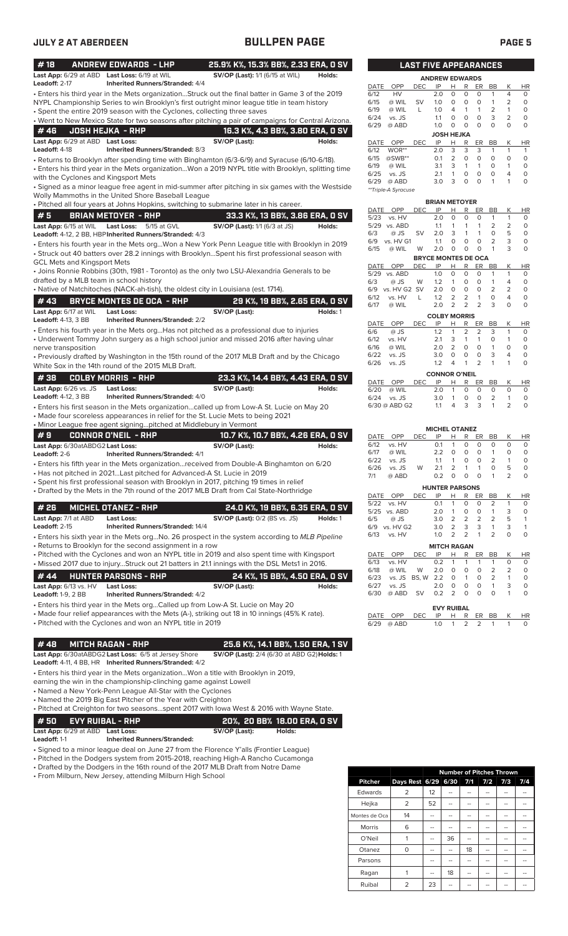| #18                                                                           | <b>ANDREW EDWARDS - LHP</b><br>Last App: 6/29 at ABD Last Loss: 6/19 at WIL                                               | 25.9% K%, 15.3% BB%, 2.33 ERA, 0 SV<br><b>SV/OP (Last):</b> 1/1 (6/15 at WIL)                                                                                                                        | Holds:   |
|-------------------------------------------------------------------------------|---------------------------------------------------------------------------------------------------------------------------|------------------------------------------------------------------------------------------------------------------------------------------------------------------------------------------------------|----------|
| Leadoff: 2-17                                                                 | <b>Inherited Runners/Stranded: 4/4</b>                                                                                    | . Enters his third year in the Mets organizationStruck out the final batter in Game 3 of the 2019<br>NYPL Championship Series to win Brooklyn's first outright minor league title in team history    |          |
|                                                                               | • Spent the entire 2019 season with the Cyclones, collecting three saves                                                  |                                                                                                                                                                                                      |          |
|                                                                               |                                                                                                                           | . Went to New Mexico State for two seasons after pitching a pair of campaigns for Central Arizona.                                                                                                   |          |
| #46                                                                           | <b>JOSH HEJKA - RHP</b>                                                                                                   | 16.3 K%, 4.3 BB%, 3.80 ERA, 0 SV                                                                                                                                                                     |          |
| Last App: 6/29 at ABD Last Loss:<br>Leadoff: 4-18                             | Inherited Runners/Stranded: 8/3                                                                                           | SV/OP (Last):                                                                                                                                                                                        | Holds:   |
| with the Cyclones and Kingsport Mets                                          |                                                                                                                           | • Returns to Brooklyn after spending time with Binghamton (6/3-6/9) and Syracuse (6/10-6/18).<br>· Enters his third year in the Mets organizationWon a 2019 NYPL title with Brooklyn, splitting time |          |
|                                                                               | Wolly Mammoths in the United Shore Baseball League                                                                        | • Signed as a minor league free agent in mid-summer after pitching in six games with the Westside                                                                                                    |          |
| #5                                                                            | <b>BRIAN METOYER - RHP</b>                                                                                                | · Pitched all four years at Johns Hopkins, switching to submarine later in his career.                                                                                                               |          |
| Last App: 6/15 at WIL                                                         | <b>Last Loss:</b><br>5/15 at GVL                                                                                          | 33.3 K%, 13 BB%, 3.86 ERA, 0 SV<br><b>SV/OP (Last):</b> 1/1 (6/3 at JS)                                                                                                                              | Holds:   |
|                                                                               | Leadoff: 4-12, 2 BB, HBP Inherited Runners/Stranded: 4/3                                                                  | · Enters his fourth year in the Mets orgWon a New York Penn League title with Brooklyn in 2019<br>· Struck out 40 batters over 28.2 innings with BrooklynSpent his first professional season with    |          |
| <b>GCL Mets and Kingsport Mets</b><br>drafted by a MLB team in school history |                                                                                                                           | • Joins Ronnie Robbins (30th, 1981 - Toronto) as the only two LSU-Alexandria Generals to be                                                                                                          |          |
|                                                                               |                                                                                                                           | • Native of Natchitoches (NACK-ah-tish), the oldest city in Louisiana (est. 1714).                                                                                                                   |          |
| #43                                                                           | <b>BRYCE MONTES DE OCA - RHP</b>                                                                                          | 29 K%, 19 BB%, 2.65 ERA, 0 SV                                                                                                                                                                        |          |
| Last App: 6/17 at WIL<br><b>Leadoff: 4-13, 3 BB</b>                           | Last Loss:<br><b>Inherited Runners/Stranded: 2/2</b>                                                                      | SV/OP (Last):                                                                                                                                                                                        | Holds: 1 |
| nerve transposition                                                           |                                                                                                                           | · Enters his fourth year in the Mets orgHas not pitched as a professional due to injuries<br>• Underwent Tommy John surgery as a high school junior and missed 2016 after having ulnar               |          |
|                                                                               | White Sox in the 14th round of the 2015 MLB Draft.                                                                        | • Previously drafted by Washington in the 15th round of the 2017 MLB Draft and by the Chicago                                                                                                        |          |
| #38                                                                           | <b>COLBY MORRIS - RHP</b>                                                                                                 | 23.3 K%, 14.4 BB%, 4.43 ERA, 0 SV                                                                                                                                                                    |          |
| Last App: 6/26 vs. JS<br>Leadoff: 4-12, 3 BB                                  | Last Loss:<br><b>Inherited Runners/Stranded: 4/0</b>                                                                      | SV/OP (Last):                                                                                                                                                                                        | Holds:   |
|                                                                               |                                                                                                                           | • Enters his first season in the Mets organizationcalled up from Low-A St. Lucie on May 20                                                                                                           |          |
|                                                                               | • Minor League free agent signingpitched at Middlebury in Vermont                                                         | • Made four scoreless appearances in relief for the St. Lucie Mets to being 2021                                                                                                                     |          |
| #9                                                                            | <b>CONNOR O'NEIL - RHP</b>                                                                                                | 10.7 K%, 10.7 BB%, 4.26 ERA, 0 SV                                                                                                                                                                    |          |
| Last App: 6/30atABDG2 Last Loss:                                              |                                                                                                                           | SV/OP (Last):                                                                                                                                                                                        | Holds:   |
| Leadoff: 2-6                                                                  | <b>Inherited Runners/Stranded: 4/1</b>                                                                                    | · Enters his fifth year in the Mets organizationreceived from Double-A Binghamton on 6/20                                                                                                            |          |
|                                                                               | • Has not pitched in 2021Last pitched for Advanced-A St. Lucie in 2019                                                    |                                                                                                                                                                                                      |          |
|                                                                               |                                                                                                                           | · Spent his first professional season with Brooklyn in 2017, pitching 19 times in relief<br>• Drafted by the Mets in the 7th round of the 2017 MLB Draft from Cal State-Northridge                   |          |
| # 26                                                                          | <b>MICHEL OTANEZ - RHP</b>                                                                                                | 24.0 K%, 19 BB%, 6.35 ERA, 0 SV                                                                                                                                                                      |          |
| Last App: 7/1 at ABD                                                          | <b>Last Loss:</b>                                                                                                         | <b>SV/OP (Last): 0/2 (BS vs. JS)</b>                                                                                                                                                                 | Holds: 1 |
| <b>Leadoff: 2-15</b>                                                          | <b>Inherited Runners/Stranded: 14/4</b>                                                                                   |                                                                                                                                                                                                      |          |
|                                                                               | • Returns to Brooklyn for the second assignment in a row                                                                  | · Enters his sixth year in the Mets orgNo. 26 prospect in the system according to MLB Pipeline                                                                                                       |          |
|                                                                               |                                                                                                                           | • Pitched with the Cyclones and won an NYPL title in 2019 and also spent time with Kingsport<br>• Missed 2017 due to injuryStruck out 21 batters in 21.1 innings with the DSL Mets1 in 2016.         |          |
| #44                                                                           |                                                                                                                           |                                                                                                                                                                                                      |          |
| Last App: 6/13 vs. HV<br><b>Leadoff:</b> 1-9, 2 BB                            | <b>HUNTER PARSONS - RHP</b><br><b>Last Loss:</b><br><b>Inherited Runners/Stranded: 4/2</b>                                | 24 K%, 15 BB%, 4.50 ERA, 0 SV<br>SV/OP (Last):                                                                                                                                                       | Holds:   |
|                                                                               |                                                                                                                           | • Enters his third year in the Mets orgCalled up from Low-A St. Lucie on May 20                                                                                                                      |          |
|                                                                               | • Pitched with the Cyclones and won an NYPL title in 2019                                                                 | • Made four relief appearances with the Mets (A-), striking out 18 in 10 innings (45% K rate).                                                                                                       |          |
| #48                                                                           | <b>MITCH RAGAN - RHP</b>                                                                                                  | 25.6 K%, 14.1 BB%, 1.50 ERA, 1 SV                                                                                                                                                                    |          |
|                                                                               | Last App: 6/30atABDG2 Last Loss: 6/5 at Jersey Shore<br>Leadoff: 4-11, 4 BB, HR Inherited Runners/Stranded: 4/2           | SV/OP (Last): 2/4 (6/30 at ABD G2) Holds: 1                                                                                                                                                          |          |
|                                                                               |                                                                                                                           | • Enters his third year in the Mets organizationWon a title with Brooklyn in 2019,                                                                                                                   |          |
|                                                                               | earning the win in the championship-clinching game against Lowell                                                         |                                                                                                                                                                                                      |          |
|                                                                               | • Named a New York-Penn League All-Star with the Cyclones<br>• Named the 2019 Big East Pitcher of the Year with Creighton |                                                                                                                                                                                                      |          |
|                                                                               |                                                                                                                           | $\bullet$ Pitched at Creighton for two seasonsspent 2017 with lowa West & 2016 with Wayne State.                                                                                                     |          |
| # 50                                                                          | <b>EVY RUIBAL - RHP</b>                                                                                                   | 20%, 20 BB% 18.00 ERA, 0 SV                                                                                                                                                                          |          |
| Last App: 6/29 at ABD Last Loss:                                              |                                                                                                                           | SV/OP (Last):<br>Holds:                                                                                                                                                                              |          |

**Leadoff:** 1-1 **Inherited Runners/Stranded:**

• Signed to a minor league deal on June 27 from the Florence Y'alls (Frontier League)

• Pitched in the Dodgers system from 2015-2018, reaching High-A Rancho Cucamonga

• Drafted by the Dodgers in the 16th round of the 2017 MLB Draft from Notre Dame

• From Milburn, New Jersey, attending Milburn High School

|                |                |    | <b>Number of Pitches Thrown</b> |     |     |     |     |
|----------------|----------------|----|---------------------------------|-----|-----|-----|-----|
| <b>Pitcher</b> | Days Rest 6/29 |    | 6/30                            | 7/1 | 7/2 | 7/3 | 7/4 |
| Edwards        | 2              | 12 |                                 |     |     |     |     |
| Hejka          | 2              | 52 |                                 |     |     |     |     |
| Montes de Oca  | 14             |    | --                              |     |     |     |     |
| Morris         | 6              |    |                                 |     |     | --  |     |
| O'Neil         |                |    | 36                              |     |     |     |     |
| Otanez         | O              |    |                                 | 18  |     |     |     |
| Parsons        |                | -- |                                 |     |     |     |     |
| Ragan          |                |    | 18                              |     |     |     |     |
| Ruibal         | っ              | 23 |                                 |     |     |     |     |

|             |                     | <b>LAST FIVE APPEARANCES</b> |                       |                |          |    |           |                |           |
|-------------|---------------------|------------------------------|-----------------------|----------------|----------|----|-----------|----------------|-----------|
|             |                     |                              | <b>ANDREW EDWARDS</b> |                |          |    |           |                |           |
| <b>DATE</b> | OPP                 | DEC                          | IP                    | н              | R        | ER | <b>BB</b> | Κ              | <b>HR</b> |
| 6/12        | HV                  |                              | 2.0                   | $\Omega$       | 0        | O  | 1         | 4              | $\Omega$  |
| 6/15        | @ WIL               | SV                           | 1.0                   | 0              | 0        | O  | 1         | 2              | 0         |
| 6/19        | @ WIL               | L                            | 1.0                   | $\overline{4}$ | 1        | 1  | 2         | 1              | 0         |
| 6/24        | vs. JS              |                              | 1.1                   | $\Omega$       | 0        | O  | 3         | $\overline{2}$ | $\Omega$  |
| 6/29        | @ ABD               |                              | 1.0                   | 0              | $\Omega$ | O  | 0         | O              | 0         |
|             |                     |                              | <b>JOSH HEJKA</b>     |                |          |    |           |                |           |
| <b>DATE</b> | OPP                 | <b>DEC</b>                   | IP                    | н              | R        | ER | <b>BB</b> | Κ              | <b>HR</b> |
| 6/12        | WOR**               |                              | 2.0                   | 3              | 3        | 3  | 1         | 1              | 1         |
| 6/15        | @SWB**              |                              | 0.1                   | $\overline{2}$ | 0        | O  | O         | 0              | 0         |
| 6/19        | @ WIL               |                              | 3.1                   | 3              | 1        | 1  | O         | 1              | 0         |
| 6/25        | vs. JS              |                              | 2.1                   | 1              | 0        | O  | O         | 4              | 0         |
| 6/29        | @ ABD               |                              | 3.0                   | 3              | $\Omega$ | O  | 1         | 1              | 0         |
|             | **Triple-A Syracuse |                              |                       |                |          |    |           |                |           |

|             |           |            | <b>BRIAN METOYER</b>       |   |   |                |    |   |          |
|-------------|-----------|------------|----------------------------|---|---|----------------|----|---|----------|
| DATE        | OPP       | DEC        | IP                         | Н | R | ER             | BB | Κ | ΗR       |
| 5/23        | vs. HV    |            | 2.0                        | O | 0 | 0              | 1  | 1 | 0        |
| 5/29        | vs. ABD   |            | 1.1                        | 1 | 1 | 1              | 2  | 2 | 0        |
| 6/3         | @ JS      | SV         | 2.0                        | 3 | 1 | 1              | 0  | 5 | 0        |
| 6/9         | vs. HV G1 |            | 1.1                        | O | 0 | O              | 2  | 3 | 0        |
| 6/15        | @ WIL     | W          | 2.0                        | O | 0 | 0              | 1  | 3 | $\Omega$ |
|             |           |            | <b>BRYCE MONTES DE OCA</b> |   |   |                |    |   |          |
| <b>DATE</b> | OPP       | <b>DEC</b> | IP                         | н | R | ER             | BB | Κ | ΗR       |
| 5/29        | vs. ABD   |            | 1.0                        | 0 | 0 | $\Omega$       | 1  | 1 | 0        |
| 6/3         | $@$ JS    | W          | 1.2                        | 1 | O | O              | 1  | 4 | 0        |
| 6/9         | vs. HV G2 | SV         | 2.0                        | 0 | O | O              | 2  | 2 | 0        |
| 6/12        | vs. HV    | L          | 1.2                        | 2 | 2 | 1              | 0  | 4 | 0        |
| 6/17        | @ WIL     |            | 2.0                        | 2 | 2 | 2              | 3  | 0 | 0        |
|             |           |            | <b>COLBY MORRIS</b>        |   |   |                |    |   |          |
| <b>DATE</b> | OPP       | <b>DEC</b> | IP                         | н | R | ER             | ВB | Κ | ΗR       |
| 6/6         | $@$ JS    |            | 1.2                        | 1 | 2 | 2              | 3  | 1 | 0        |
| 6/12        | vs. HV    |            | 2.1                        | 3 | 1 | 1              | O  | 1 | 0        |
| 6/16        | @ WIL     |            | 2.0                        | 2 | 0 | O              | 1  | 0 | 0        |
| 6/22        | vs. JS    |            | 3.0                        | 0 | 0 | O              | 3  | 4 | 0        |
| 6/26        | vs. JS    |            | 1.2                        | 4 | 1 | $\overline{2}$ | 1  | 1 | 0        |

|          |               |     | <b>CONNOR O'NEIL</b> |                |          |                               |                |    |
|----------|---------------|-----|----------------------|----------------|----------|-------------------------------|----------------|----|
| DATE OPP |               | DEC |                      |                |          | IP H R ER BB                  |                | HR |
| 6/20     | @ WIL         |     | 20 D                 | 1              |          | 0 <sub>0</sub>                | $\Omega$       |    |
|          | $6/24$ vs. JS |     | 30                   | $\overline{1}$ | $\Omega$ | $\Omega$                      | $\mathcal{L}$  |    |
|          | 6/30 @ ABD G2 |     | 11                   | 4              |          | $\overline{3}$ $\overline{3}$ | $\overline{1}$ |    |
|          |               |     |                      |                |          |                               |                |    |

|      |           |            | <b>MICHEL OTANEZ</b>  |                |          |          |                |                |          |
|------|-----------|------------|-----------------------|----------------|----------|----------|----------------|----------------|----------|
| DATE | OPP       | DEC        | IP                    | н              | R        | ER       | BB             | Κ              | HR       |
| 6/12 | vs. HV    |            | 0.1                   | 1              | 0        | 0        | 0              | O              | 0        |
| 6/17 | @ WIL     |            | 2.2                   | 0              | 0        | 0        | 1              | 0              | 0        |
| 6/22 | vs. JS    |            | 1.1                   | 1              | 0        | 0        | 2              | 1              | 0        |
| 6/26 | vs. JS    | W          | 2.1                   | 2              | 1        | 1        | 0              | 5              | 0        |
| 7/1  | @ ABD     |            | 0.2                   | 0              | 0        | 0        | 1              | $\overline{2}$ | 0        |
|      |           |            | <b>HUNTER PARSONS</b> |                |          |          |                |                |          |
| DATE | OPP       | <b>DEC</b> | IP                    | н              | R        | ER       | BB             | Κ              | HR       |
| 5/22 | vs. HV    |            | 0.1                   | 1              | O        | 0        | 2              | 1              | 0        |
| 5/25 | vs. ABD   |            | 2.0                   | 1              | 0        | 0        | 1              | 3              | 0        |
| 6/5  | $@$ JS    |            | 3.0                   | $\overline{2}$ | 2        | 2        | 2              | 5              | 1        |
| 6/9  | vs. HV G2 |            | 3.0                   | 2              | 3        | 3        | 1              | 3              | 1        |
| 6/13 | vs. HV    |            | 1.0                   | 2              | 2        | 1        | $\overline{2}$ | 0              | 0        |
|      |           |            | <b>MITCH RAGAN</b>    |                |          |          |                |                |          |
| DATE | OPP       | DEC        | IP                    | н              | R        | ER       | BB             | Κ              | HR       |
| 6/13 | vs. HV    |            | 0.2                   | 1              | 1        | 1        | 1              | O              | 0        |
| 6/18 | @ WIL     | W          | 2.0                   | O              | 0        | O        | 2              | $\overline{2}$ | 0        |
| 6/23 | vs. JS    | BS, W      | 2.2                   | 0              | 1        | 0        | 2              | 1              | 0        |
| 6/27 | $vs$ IS   |            | 20                    | $\Omega$       | $\Omega$ | $\Omega$ | 1              | 3              | $\Omega$ |

|  | $6/27$ vs. JS<br>6/30 @ ABD SV 0.2 2 0 0 0 |      | 2.0 0 0 0 1 3     |  |  |                |           |
|--|--------------------------------------------|------|-------------------|--|--|----------------|-----------|
|  |                                            |      | <b>EVY RUIBAL</b> |  |  |                |           |
|  | DATE OPP                                   | DEC. |                   |  |  | IP H R ER BB K | <b>HR</b> |
|  | $6/29$ @ ABD                               |      | 10 1 2 2 1        |  |  | $\overline{1}$ |           |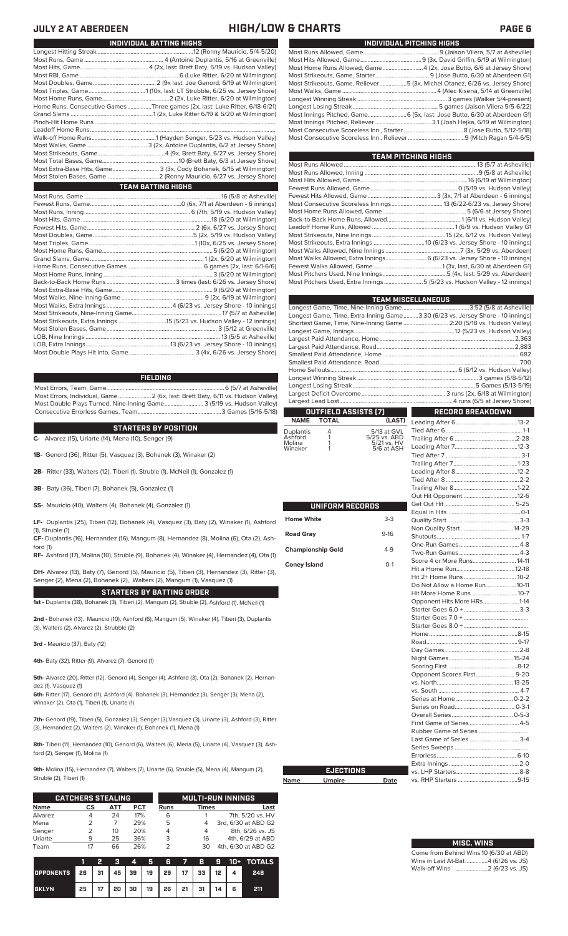### **JULY 2 AT ABERDEEN HIGH/LOW & CHARTS PAGE 6**

| INDIVIDUAL PITCHING HIGHS                                                   |
|-----------------------------------------------------------------------------|
|                                                                             |
|                                                                             |
| Most Home Runs Allowed, Game4 (2x, Jose Butto, 6/6 at Jersey Shore)         |
|                                                                             |
| Most Strikeouts, Game, Reliever5 (3x, Michel Otanez, 6/26 vs. Jersey Shore) |
|                                                                             |
|                                                                             |
|                                                                             |
| Most Innings Pitched, Game 6 (5x, last: Jose Butto, 6/30 at Aberdeen G1)    |
|                                                                             |
|                                                                             |
|                                                                             |
|                                                                             |

| TEAM PITCHING HIGHS                                                       |  |
|---------------------------------------------------------------------------|--|
|                                                                           |  |
|                                                                           |  |
|                                                                           |  |
|                                                                           |  |
|                                                                           |  |
|                                                                           |  |
|                                                                           |  |
|                                                                           |  |
|                                                                           |  |
|                                                                           |  |
|                                                                           |  |
|                                                                           |  |
| Most Walks Allowed, Extra Innings 6 (6/23 vs. Jersey Shore - 10 innings)  |  |
|                                                                           |  |
|                                                                           |  |
| Most Pitchers Used, Extra Innings 5 (5/23 vs. Hudson Valley - 12 innings) |  |
|                                                                           |  |

|                          |                      |                             | <b>TEAM MISCELLANEOUS</b>                                                      |  |
|--------------------------|----------------------|-----------------------------|--------------------------------------------------------------------------------|--|
|                          |                      |                             |                                                                                |  |
|                          |                      |                             | Longest Game, Time, Extra-Inning Game3:30 (6/23 vs. Jersey Shore - 10 innings) |  |
|                          |                      |                             | Shortest Game, Time, Nine-Inning Game  2:20 (5/18 vs. Hudson Valley)           |  |
|                          |                      |                             |                                                                                |  |
|                          |                      |                             |                                                                                |  |
|                          |                      |                             |                                                                                |  |
|                          |                      |                             |                                                                                |  |
|                          |                      |                             |                                                                                |  |
|                          |                      |                             |                                                                                |  |
|                          |                      |                             |                                                                                |  |
|                          |                      |                             |                                                                                |  |
|                          |                      |                             |                                                                                |  |
|                          | OUTFIELD ASSISTS (7) |                             | <b>RECORD BREAKDOWN</b>                                                        |  |
| <b>NAME</b>              | <b>TOTAL</b>         | (LAST)                      |                                                                                |  |
| Duplantis<br>Ashford     | 4<br>1               | 5/13 at GVL                 |                                                                                |  |
| Molina                   | 1                    | 5/25 vs. ABD<br>5/21 vs. HV |                                                                                |  |
| Winaker                  | 1                    | 5/6 at ASH                  |                                                                                |  |
|                          |                      |                             |                                                                                |  |
|                          |                      |                             |                                                                                |  |
|                          |                      |                             |                                                                                |  |
|                          |                      |                             |                                                                                |  |
|                          |                      |                             |                                                                                |  |
|                          | UNIFORM RECORDS      |                             |                                                                                |  |
|                          |                      |                             |                                                                                |  |
| <b>Home White</b>        |                      | $3-3$                       |                                                                                |  |
|                          |                      |                             |                                                                                |  |
| <b>Road Gray</b>         |                      | $9 - 16$                    |                                                                                |  |
| <b>Championship Gold</b> |                      | $4-9$                       |                                                                                |  |
|                          |                      |                             |                                                                                |  |
| <b>Coney Island</b>      |                      | $O-1$                       | Score 4 or More Runs 14-11                                                     |  |
|                          |                      |                             |                                                                                |  |
|                          |                      |                             | Hit 2+ Home Runs 10-2<br>Do Not Allow a Home Run10-11                          |  |
|                          |                      |                             | Hit More Home Runs 10-7                                                        |  |
|                          |                      |                             | Opponent Hits More HRs1-14                                                     |  |
|                          |                      |                             |                                                                                |  |
|                          |                      |                             |                                                                                |  |
|                          |                      |                             |                                                                                |  |
|                          |                      |                             |                                                                                |  |
|                          |                      |                             |                                                                                |  |
|                          |                      |                             |                                                                                |  |
|                          |                      |                             |                                                                                |  |
|                          |                      |                             |                                                                                |  |
|                          |                      |                             | Opponent Scores First 9-20                                                     |  |
|                          |                      |                             |                                                                                |  |
|                          |                      |                             |                                                                                |  |
|                          |                      |                             |                                                                                |  |
|                          |                      |                             |                                                                                |  |
|                          |                      |                             | First Game of Series 4-5                                                       |  |
|                          |                      |                             |                                                                                |  |
|                          |                      |                             | Last Game of Series  3-4                                                       |  |
|                          |                      |                             |                                                                                |  |
|                          |                      |                             |                                                                                |  |
|                          |                      |                             |                                                                                |  |
|                          | <b>EJECTIONS</b>     |                             |                                                                                |  |
| Name                     | <b>Umpire</b>        | Date                        |                                                                                |  |

## **MISC. WINS**

| Come from Behind Wins 10 (6/30 at ABD) |  |  |
|----------------------------------------|--|--|
| Wins in Last At-Bat4 (6/26 vs. JS)     |  |  |
|                                        |  |  |

| INDIVIDUAL BATTING HIGHS |                                                                             |
|--------------------------|-----------------------------------------------------------------------------|
|                          |                                                                             |
|                          |                                                                             |
|                          |                                                                             |
|                          |                                                                             |
|                          |                                                                             |
|                          |                                                                             |
|                          |                                                                             |
|                          | Home Runs, Consecutive Games Three games (2x, last: Luke Ritter, 6/18-6/21) |
|                          |                                                                             |
|                          |                                                                             |
|                          |                                                                             |
|                          |                                                                             |
|                          |                                                                             |
|                          |                                                                             |
|                          |                                                                             |
|                          | Most Extra-Base Hits, Game 3 (3x, Cody Bohanek, 6/15 at Wilmington)         |
|                          |                                                                             |
|                          | <b>TEAM BATTING HIGHS</b>                                                   |
|                          |                                                                             |
|                          |                                                                             |
|                          |                                                                             |
|                          |                                                                             |
|                          |                                                                             |
|                          |                                                                             |
|                          |                                                                             |
|                          |                                                                             |
|                          |                                                                             |
|                          |                                                                             |
|                          |                                                                             |
|                          |                                                                             |
|                          |                                                                             |
|                          |                                                                             |
|                          |                                                                             |
|                          |                                                                             |
|                          |                                                                             |
|                          |                                                                             |
|                          |                                                                             |

### **FIELDING**

.. 13 (6/23 vs. Jersey Shore - 10 innings)<br>...................... 3 (4x, 6/26 vs. Jersey Shore)

Most Errors, Team, Game...............................................................................6 (5/7 at Asheville) .<br>2 (6x, last: Brett Baty, 6/11 vs. Hudson Valley)<br>3 (5/19 vs. Hudson Valley) Most Double Plays Turned, Nine-Inning Game.......................... 3 (5/19 vs. Hudson Valley) Consecutive Errorless Games, Team.

**STARTERS BY POSITION**

**C-** Alvarez (15), Uriarte (14), Mena (10), Senger (9)

Most Double Plays Hit into, Game............................................ 3 (4x, 6/26 vs. Jersey Shore)

**1B-** Genord (36), Ritter (5), Vasquez (3), Bohanek (3), Winaker (2)

**2B-** Ritter (33), Walters (12), Tiberi (1), Struble (1), McNeil (1), Gonzalez (1)

**3B-** Baty (36), Tiberi (7), Bohanek (5), Gonzalez (1)

**SS-** Mauricio (40), Walters (4), Bohanek (4), Gonzalez (1)

**LF-** Duplantis (25), Tiberi (12), Bohanek (4), Vasquez (3), Baty (2), Winaker (1), Ashford (1), Struble (1)

**CF-** Duplantis (16), Hernandez (16), Mangum (8), Hernandez (8), Molina (6), Ota (2), Ash-

ford (1) **RF-** Ashford (17), Molina (10), Struble (9), Bohanek (4), Winaker (4), Hernandez (4), Ota (1)

**DH-** Alvarez (13), Baty (7), Genord (5), Mauricio (5), Tiberi (3), Hernandez (3), Ritter (3), Senger (2), Mena (2), Bohanek (2), Walters (2), Mangum (1), Vasquez (1)

**STARTERS BY BATTING ORDER 1st -** Duplantis (38), Bohanek (3), Tiberi (2), Mangum (2), Struble (2), Ashford (1), McNeil (1)

**2nd -** Bohanek (13), Mauricio (10), Ashford (6), Mangum (5), Winaker (4), Tiberi (3), Duplantis

**3rd -** Mauricio (37), Baty (12)

(3), Walters (2), Alvarez (2), Strubble (2)

**4th-** Baty (32), Ritter (9), Alvarez (7), Genord (1)

**5th-** Alvarez (20), Ritter (12), Genord (4), Senger (4), Ashford (3), Ota (2), Bohanek (2), Hernandez (1), Vasquez (1)

**6th-** Ritter (17), Genord (11), Ashford (4). Bohanek (3), Hernandez (3), Senger (3), Mena (2), Winaker (2), Ota (1), Tiberi (1), Uriarte (1)

**7th-** Genord (19), Tiberi (5), Gonzalez (3), Senger (3),Vasquez (3), Uriarte (3), Ashford (3), Ritter (3), Hernandez (2), Walters (2), Winaker (1), Bohanek (1), Mena (1)

**8th-** Tiberi (11), Hernandez (10), Genord (6), Walters (6), Mena (5), Uriarte (4), Vasquez (3), Ashford (2), Senger (1), Molina (1)

**Name** 

**9th-** Molina (15), Hernandez (7), Walters (7), Uriarte (6), Struble (5), Mena (4), Mangum (2), Struble (2), Tiberi (1)

|             | <b>CATCHERS STEALING</b> |     |     | <b>MULTI-RUN INNINGS</b> |              |                     |  |  |  |
|-------------|--------------------------|-----|-----|--------------------------|--------------|---------------------|--|--|--|
| <b>Name</b> | СS                       | АТТ | PCT | Runs                     | <b>Times</b> | Last                |  |  |  |
| Alvarez     |                          | 24  | 17% | 6                        |              | 7th, 5/20 vs. HV    |  |  |  |
| Mena        |                          |     | 29% | 5                        | 4            | 3rd, 6/30 at ABD G2 |  |  |  |
| Senger      |                          | 10  | 20% | 4                        | 4            | 8th, 6/26 vs. JS    |  |  |  |
| Uriarte     | q                        | 25  | 36% | 3                        | 16           | 4th, 6/29 at ABD    |  |  |  |
| Team        |                          | 66  | 26% | っ                        | 30           | 4th, 6/30 at ABD G2 |  |  |  |

|                                        |  |  |                                                  |  |  | 3 4 5 6 7 8 9 10 + TOTALS |
|----------------------------------------|--|--|--------------------------------------------------|--|--|---------------------------|
| OPPONENTS 26 31 45 39 19 29 17 33 12 4 |  |  |                                                  |  |  | 248                       |
| <b>BKLYN</b>                           |  |  | $25$   17   20   30   19   26   21   31   14   6 |  |  | 211                       |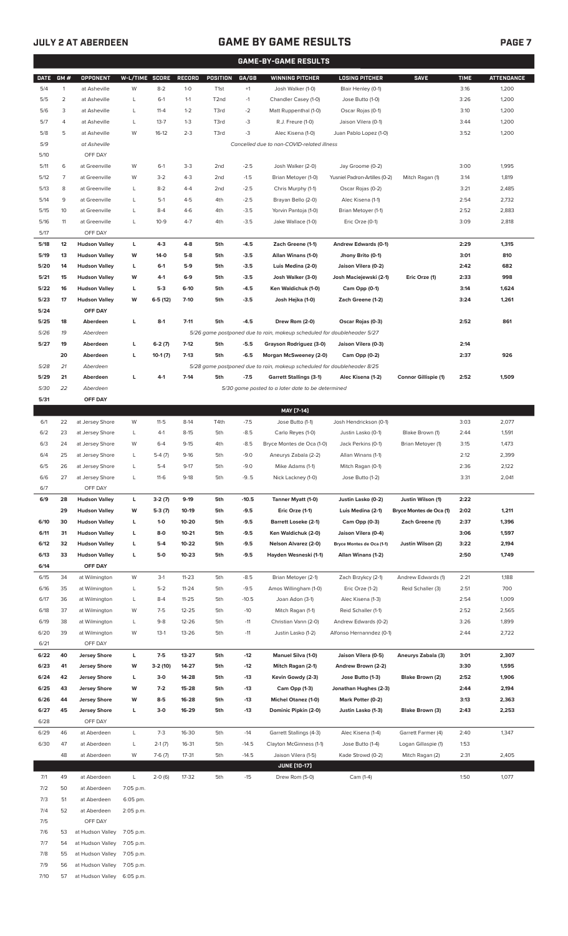## **JULY 2 AT ABERDEEN GAME BY GAME RESULTS PAGE 7**

| <b>GAME-BY-GAME RESULTS</b> |                |                                |                |                   |                        |                   |                                            |                                                                         |                                                  |                             |              |                   |
|-----------------------------|----------------|--------------------------------|----------------|-------------------|------------------------|-------------------|--------------------------------------------|-------------------------------------------------------------------------|--------------------------------------------------|-----------------------------|--------------|-------------------|
| <b>DATE</b>                 | GM#            | OPPONENT                       | W-L/TIME SCORE |                   | RECORD                 | POSITION          | GA/GB                                      | <b>WINNING PITCHER</b>                                                  | <b>LOSING PITCHER</b>                            | <b>SAVE</b>                 | <b>TIME</b>  | <b>ATTENDANCE</b> |
| 5/4                         | $\mathbf{1}$   | at Asheville                   | W              | $8 - 2$           | $1-0$                  | T <sub>1st</sub>  | $+1$                                       | Josh Walker (1-0)                                                       | Blair Henley (0-1)                               |                             | 3:16         | 1,200             |
| 5/5                         | $\overline{2}$ | at Asheville                   | L              | $6-1$             | $1 - 1$                | T <sub>2</sub> nd | $-1$                                       | Chandler Casey (1-0)                                                    | Jose Butto (1-0)                                 |                             | 3:26         | 1,200             |
| 5/6                         | 3              | at Asheville                   | L              | $11 - 4$          | $1 - 2$                | T3rd              | $-2$                                       | Matt Ruppenthal (1-0)                                                   | Oscar Rojas (0-1)                                |                             | 3:10         | 1,200             |
| 5/7                         | 4              | at Asheville                   | L              | $13 - 7$          | $1 - 3$                | T3rd              | -3                                         | R.J. Freure (1-0)                                                       | Jaison Vilera (0-1)                              |                             | 3:44         | 1,200             |
| 5/8                         | 5              | at Asheville                   | W              | $16-12$           | $2 - 3$                | T3rd              | -3                                         | Alec Kisena (1-0)                                                       | Juan Pablo Lopez (1-0)                           |                             | 3:52         | 1,200             |
| 5/9                         |                | at Asheville                   |                |                   |                        |                   | Cancelled due to non-COVID-related illness |                                                                         |                                                  |                             |              |                   |
| 5/10                        |                | OFF DAY                        |                |                   |                        |                   |                                            |                                                                         |                                                  |                             |              |                   |
| 5/11                        | 6              | at Greenville                  | W              | $6-1$             | $3-3$                  | 2 <sub>nd</sub>   | $-2.5$                                     | Josh Walker (2-0)                                                       | Jay Groome (0-2)                                 |                             | 3:00         | 1,995             |
| 5/12                        | $\overline{7}$ | at Greenville                  | W              | $3-2$             | $4 - 3$                | 2 <sub>nd</sub>   | $-1.5$                                     | Brian Metoyer (1-0)                                                     | Yusniel Padron-Artilles (0-2)                    | Mitch Ragan (1)             | 3:14         | 1,819             |
| 5/13                        | 8              | at Greenville                  | L              | $8 - 2$           | $4 - 4$                | 2 <sub>nd</sub>   | $-2.5$                                     | Chris Murphy (1-1)                                                      | Oscar Rojas (0-2)                                |                             | 3:21         | 2,485             |
| 5/14<br>5/15                | 9<br>10        | at Greenville<br>at Greenville | L<br>L         | $5-1$<br>$8 - 4$  | $4 - 5$<br>$4-6$       | 4th<br>4th        | $-2.5$<br>$-3.5$                           | Brayan Bello (2-0)<br>Yorvin Pantoja (1-0)                              | Alec Kisena (1-1)<br>Brian Metoyer (1-1)         |                             | 2:54<br>2:52 | 2,732<br>2,883    |
| 5/16                        | 11             | at Greenville                  | L              | $10-9$            | $4 - 7$                | 4th               | $-3.5$                                     | Jake Wallace (1-0)                                                      | Eric Orze (0-1)                                  |                             | 3:09         | 2,818             |
| 5/17                        |                | OFF DAY                        |                |                   |                        |                   |                                            |                                                                         |                                                  |                             |              |                   |
| 5/18                        | 12             | <b>Hudson Valley</b>           | L              | $4 - 3$           | $4 - 8$                | 5th               | $-4.5$                                     | Zach Greene (1-1)                                                       | Andrew Edwards (0-1)                             |                             | 2:29         | 1,315             |
| 5/19                        | 13             | <b>Hudson Valley</b>           | W              | 14-0              | $5-8$                  | 5th               | $-3.5$                                     | Allan Winans (1-0)                                                      | Jhony Brito (0-1)                                |                             | 3:01         | 810               |
| 5/20                        | 14             | <b>Hudson Valley</b>           | L              | $6-1$             | 5-9                    | 5th               | $-3.5$                                     | Luis Medina (2-0)                                                       | Jaison Vilera (0-2)                              |                             | 2:42         | 682               |
| 5/21                        | 15             | <b>Hudson Valley</b>           | W              | 4-1               | $6-9$                  | 5th               | $-3.5$                                     | Josh Walker (3-0)                                                       | Josh Maciejewski (2-1)                           | Eric Orze (1)               | 2:33         | 998               |
| 5/22                        | 16             | <b>Hudson Valley</b>           | г              | $5-3$             | $6-10$                 | 5th               | $-4.5$                                     | Ken Waldichuk (1-0)                                                     | Cam Opp (0-1)                                    |                             | 3:14         | 1,624             |
| 5/23                        | 17             | <b>Hudson Valley</b>           | W              | $6-5(12)$         | $7 - 10$               | 5th               | $-3.5$                                     | Josh Hejka (1-0)                                                        | Zach Greene (1-2)                                |                             | 3:24         | 1,261             |
| 5/24                        |                | OFF DAY                        |                |                   |                        |                   |                                            |                                                                         |                                                  |                             |              |                   |
| 5/25                        | 18             | Aberdeen                       | г              | $8-1$             | $7 - 11$               | 5th               | $-4.5$                                     | Drew Rom (2-0)                                                          | Oscar Rojas (0-3)                                |                             | 2:52         | 861               |
| 5/26                        | 19             | Aberdeen                       |                |                   |                        |                   |                                            | 5/26 game postponed due to rain, makeup scheduled for doubleheader 5/27 |                                                  |                             |              |                   |
| 5/27                        | 19             | Aberdeen                       | г              | $6-2(7)$          | $7-12$                 | 5th               | $-5.5$                                     | Grayson Rodriguez (3-0)                                                 | Jaison Vilera (0-3)                              |                             | 2:14         |                   |
|                             | 20             | Aberdeen                       | г              | $10-1(7)$         | $7-13$                 | 5th               | -6.5                                       | Morgan McSweeney (2-0)                                                  | Cam Opp (0-2)                                    |                             | 2:37         | 926               |
| 5/28                        | 21             | Aberdeen                       |                |                   |                        |                   |                                            | 5/28 game postponed due to rain, makeup scheduled for doubleheader 8/25 |                                                  |                             |              |                   |
| 5/29                        | 21             | Aberdeen                       | г              | $4-1$             | $7-14$                 | 5th               | $-7.5$                                     | <b>Garrett Stallings (3-1)</b>                                          | Alec Kisena (1-2)                                | <b>Connor Gillispie (1)</b> | 2:52         | 1,509             |
| 5/30                        | 22             | Aberdeen                       |                |                   |                        |                   |                                            | 5/30 game posted to a later date to be determined                       |                                                  |                             |              |                   |
| 5/31                        |                | OFF DAY                        |                |                   |                        |                   |                                            | MAY [7-14]                                                              |                                                  |                             |              |                   |
| 6/1                         | 22             | at Jersey Shore                | W              | $11 - 5$          | $8-14$                 | T4th              | $-7.5$                                     | Jose Butto (1-1)                                                        | Josh Hendrickson (0-1)                           |                             | 3:03         | 2,077             |
| 6/2                         | 23             | at Jersey Shore                | L              | $4-1$             | $8 - 15$               | 5th               | $-8.5$                                     | Carlo Reyes (1-0)                                                       | Justin Lasko (0-1)                               | Blake Brown (1)             | 2:44         | 1,591             |
| 6/3                         | 24             | at Jersey Shore                | W              | $6 - 4$           | $9 - 15$               | 4th               | $-8.5$                                     | Bryce Montes de Oca (1-0)                                               | Jack Perkins (0-1)                               | Brian Metoyer (1)           | 3:15         | 1,473             |
| 6/4                         | 25             | at Jersey Shore                | L              | $5-4(7)$          | $9 - 16$               | 5th               | $-9.0$                                     | Aneurys Zabala (2-2)                                                    | Allan Winans (1-1)                               |                             | 2:12         | 2,399             |
| 6/5                         | 26             | at Jersey Shore                | L              | $5 - 4$           | $9 - 17$               | 5th               | $-9.0$                                     | Mike Adams (1-1)                                                        | Mitch Ragan (0-1)                                |                             | 2:36         | 2,122             |
| 6/6                         | 27             | at Jersey Shore                | L              | $11-6$            | $9-18$                 | 5th               | $-9.5$                                     | Nick Lackney (1-0)                                                      | Jose Butto (1-2)                                 |                             | 3:31         | 2,041             |
| 6/7                         |                | OFF DAY                        |                |                   |                        |                   |                                            |                                                                         |                                                  |                             |              |                   |
| 6/9                         | 28             | <b>Hudson Valley</b>           | L              | $3-2(7)$          | 9-19                   | 5th               | $-10.5$                                    | Tanner Myatt (1-0)                                                      | Justin Lasko (0-2)                               | Justin Wilson (1)           | 2:22         |                   |
|                             | 29             | <b>Hudson Valley</b>           | W              | $5-3(7)$          | $10-19$                | 5th               | -9.5                                       | Eric Orze (1-1)                                                         | Luis Medina (2-1)                                | Bryce Montes de Oca (1)     | 2:02         | 1,211             |
| 6/10                        | 30             | <b>Hudson Valley</b>           | г              | $1 - 0$           | 10-20                  | 5th               | -9.5                                       | <b>Barrett Loseke (2-1)</b>                                             | Cam Opp (0-3)                                    | Zach Greene (1)             | 2:37         | 1,396             |
| 6/11                        | 31             | <b>Hudson Valley</b>           | г              | $8-0$             | $10 - 21$              | 5th               | -9.5                                       | Ken Waldichuk (2-0)                                                     | Jaison Vilera (0-4)                              |                             | 3:06         | 1,597             |
| 6/12                        | 32             | <b>Hudson Valley</b>           | г              | $5-4$             | 10-22                  | 5th               | $-9.5$                                     | <b>Nelson Alvarez (2-0)</b>                                             | Bryce Montes de Oca (1-1)                        | Justin Wilson (2)           | 3:22         | 2,194             |
| 6/13                        | 33             | <b>Hudson Valley</b>           | г              | $5-0$             | $10 - 23$              | 5th               | $-9.5$                                     | Hayden Wesneski (1-1)                                                   | Allan Winans (1-2)                               |                             | 2:50         | 1,749             |
| 6/14                        |                | OFF DAY                        |                |                   |                        |                   |                                            |                                                                         |                                                  |                             |              |                   |
| 6/15                        | 34             | at Wilmington                  | W              | $3-1$             | $11 - 23$              | 5th               | $-8.5$                                     | Brian Metoyer (2-1)                                                     | Zach Brzykcy (2-1)                               | Andrew Edwards (1)          | 2:21         | 1,188             |
| 6/16                        | 35             | at Wilmington                  | L              | $5 - 2$           | $11 - 24$              | 5th               | $-9.5$                                     | Amos Willingham (1-0)                                                   | Eric Orze (1-2)                                  | Reid Schaller (3)           | 2:51         | 700               |
| 6/17                        | 36             | at Wilmington                  | L              | $8 - 4$           | $11 - 25$              | 5th               | $-10.5$                                    | Joan Adon (3-1)                                                         | Alec Kisena (1-3)                                |                             | 2:54         | 1,009             |
| 6/18                        | 37             | at Wilmington                  | W              | $7-5$             | $12 - 25$              | 5th               | $-10$                                      | Mitch Ragan (1-1)                                                       | Reid Schaller (1-1)                              |                             | 2:52         | 2,565             |
| 6/19<br>6/20                | 38<br>39       | at Wilmington<br>at Wilmington | L<br>W         | $9 - 8$<br>$13-1$ | $12 - 26$<br>$13 - 26$ | 5th<br>5th        | $-11$<br>$-11$                             | Christian Vann (2-0)<br>Justin Lasko (1-2)                              | Andrew Edwards (0-2)<br>Alfonso Hernanndez (0-1) |                             | 3:26<br>2:44 | 1,899<br>2,722    |
| 6/21                        |                | OFF DAY                        |                |                   |                        |                   |                                            |                                                                         |                                                  |                             |              |                   |
| 6/22                        | 40             | <b>Jersey Shore</b>            | L              | $7 - 5$           | 13-27                  | 5th               | $-12$                                      | Manuel Silva (1-0)                                                      | Jaison Vilera (0-5)                              | Aneurys Zabala (3)          | 3:01         | 2,307             |
| 6/23                        | 41             | <b>Jersey Shore</b>            | W              | 3-2 (10)          | 14-27                  | 5th               | $-12$                                      | Mitch Ragan (2-1)                                                       | Andrew Brown (2-2)                               |                             | 3:30         | 1,595             |
| 6/24                        | 42             | <b>Jersey Shore</b>            | г              | $3-0$             | 14-28                  | 5th               | $-13$                                      | Kevin Gowdy (2-3)                                                       | Jose Butto (1-3)                                 | Blake Brown (2)             | 2:52         | 1,906             |
| 6/25                        | 43             | <b>Jersey Shore</b>            | W              | $7-2$             | 15-28                  | 5th               | $-13$                                      | Cam Opp (1-3)                                                           | Jonathan Hughes (2-3)                            |                             | 2:44         | 2,194             |
| 6/26                        | 44             | <b>Jersey Shore</b>            | W              | $8-5$             | 16-28                  | 5th               | $-13$                                      | <b>Michel Otanez (1-0)</b>                                              | Mark Potter (0-2)                                |                             | 3:13         | 2,363             |
| 6/27                        | 45             | <b>Jersey Shore</b>            | г              | $3-0$             | 16-29                  | 5th               | $-13$                                      | Dominic Pipkin (2-0)                                                    | Justin Lasko (1-3)                               | Blake Brown (3)             | 2:43         | 2,253             |
| 6/28                        |                | OFF DAY                        |                |                   |                        |                   |                                            |                                                                         |                                                  |                             |              |                   |
| 6/29                        | 46             | at Aberdeen                    | L              | $7-3$             | 16-30                  | 5th               | $-14$                                      | Garrett Stallings (4-3)                                                 | Alec Kisena (1-4)                                | Garrett Farmer (4)          | 2:40         | 1,347             |
| 6/30                        | 47             | at Aberdeen                    | L              | $2-1(7)$          | 16-31                  | 5th               | $-14.5$                                    | Clayton McGinness (1-1)                                                 | Jose Butto (1-4)                                 | Logan Gillaspie (1)         | 1:53         |                   |
|                             | 48             | at Aberdeen                    | W              | $7-6(7)$          | 17-31                  | 5th               | $-14.5$                                    | Jaison Vilera (1-5)                                                     | Kade Strowd (0-2)                                | Mitch Ragan (2)             | 2:31         | 2,405             |
|                             |                |                                |                |                   |                        |                   |                                            | JUNE (10-17)                                                            |                                                  |                             |              |                   |
| 7/1                         | 49             | at Aberdeen                    | L              | $2-0(6)$          | 17-32                  | 5th               | $-15$                                      | Drew Rom (5-0)                                                          | Cam (1-4)                                        |                             | 1:50         | 1,077             |
| 7/2                         | 50             | at Aberdeen                    | 7:05 p.m.      |                   |                        |                   |                                            |                                                                         |                                                  |                             |              |                   |
| 7/3                         | 51             | at Aberdeen                    | 6:05 pm.       |                   |                        |                   |                                            |                                                                         |                                                  |                             |              |                   |
| 7/4                         | 52             | at Aberdeen                    | 2:05 p.m.      |                   |                        |                   |                                            |                                                                         |                                                  |                             |              |                   |
| 7/5                         |                | OFF DAY                        |                |                   |                        |                   |                                            |                                                                         |                                                  |                             |              |                   |
| 7/6                         | 53             | at Hudson Valley               | 7:05 p.m.      |                   |                        |                   |                                            |                                                                         |                                                  |                             |              |                   |
| 7/7                         | 54             | at Hudson Valley               | 7:05 p.m.      |                   |                        |                   |                                            |                                                                         |                                                  |                             |              |                   |
| 7/8                         | 55             | at Hudson Valley               | 7:05 p.m.      |                   |                        |                   |                                            |                                                                         |                                                  |                             |              |                   |

- 7/9 56 at Hudson Valley 7:05 p.m.
- 7/10 57 at Hudson Valley 6:05 p.m.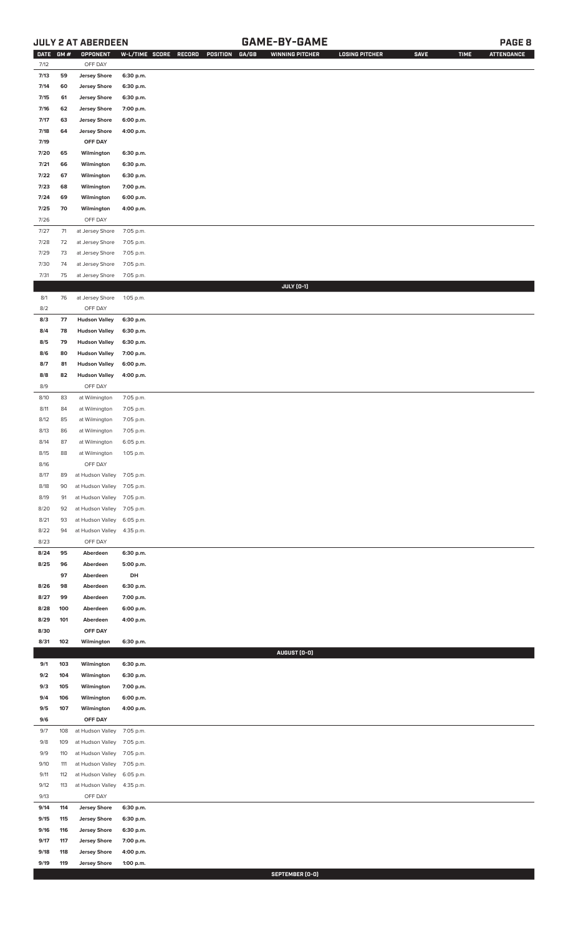## **JULY 2 AT ABERDEEN GAME-BY-GAME PAGE 8**

| DATE GM # |     | OPPONENT                   | W-L/TIME SCORE | RECORD<br>POSITION GA/GB | <b>WINNING PITCHER</b> | <b>LOSING PITCHER</b> | <b>SAVE</b> | <b>TIME</b> | <b>ATTENDANCE</b> |
|-----------|-----|----------------------------|----------------|--------------------------|------------------------|-----------------------|-------------|-------------|-------------------|
| 7/12      |     | OFF DAY                    |                |                          |                        |                       |             |             |                   |
| 7/13      | 59  | <b>Jersey Shore</b>        | 6:30 p.m.      |                          |                        |                       |             |             |                   |
| 7/14      | 60  | <b>Jersey Shore</b>        | 6:30 p.m.      |                          |                        |                       |             |             |                   |
| 7/15      | 61  | <b>Jersey Shore</b>        | 6:30 p.m.      |                          |                        |                       |             |             |                   |
| 7/16      | 62  | <b>Jersey Shore</b>        | 7:00 p.m.      |                          |                        |                       |             |             |                   |
| 7/17      | 63  | <b>Jersey Shore</b>        | 6:00 p.m.      |                          |                        |                       |             |             |                   |
| 7/18      | 64  | <b>Jersey Shore</b>        | 4:00 p.m.      |                          |                        |                       |             |             |                   |
|           |     |                            |                |                          |                        |                       |             |             |                   |
| 7/19      |     | OFF DAY                    |                |                          |                        |                       |             |             |                   |
| 7/20      | 65  | Wilmington                 | 6:30 p.m.      |                          |                        |                       |             |             |                   |
| 7/21      | 66  | Wilmington                 | 6:30 p.m.      |                          |                        |                       |             |             |                   |
| 7/22      | 67  | Wilmington                 | 6:30 p.m.      |                          |                        |                       |             |             |                   |
| 7/23      | 68  | Wilmington                 | 7:00 p.m.      |                          |                        |                       |             |             |                   |
| 7/24      | 69  | Wilmington                 | 6:00 p.m.      |                          |                        |                       |             |             |                   |
| 7/25      | 70  | Wilmington                 | 4:00 p.m.      |                          |                        |                       |             |             |                   |
|           |     |                            |                |                          |                        |                       |             |             |                   |
| 7/26      |     | OFF DAY                    |                |                          |                        |                       |             |             |                   |
| 7/27      | 71  | at Jersey Shore            | 7:05 p.m.      |                          |                        |                       |             |             |                   |
| 7/28      | 72  | at Jersey Shore            | 7:05 p.m.      |                          |                        |                       |             |             |                   |
| 7/29      | 73  | at Jersey Shore            | 7:05 p.m.      |                          |                        |                       |             |             |                   |
| 7/30      | 74  | at Jersey Shore            | 7:05 p.m.      |                          |                        |                       |             |             |                   |
| 7/31      | 75  | at Jersey Shore            | 7:05 p.m.      |                          |                        |                       |             |             |                   |
|           |     |                            |                |                          | JULY (0-1)             |                       |             |             |                   |
|           |     |                            |                |                          |                        |                       |             |             |                   |
| 8/1       | 76  | at Jersey Shore            | 1:05 p.m.      |                          |                        |                       |             |             |                   |
| 8/2       |     | OFF DAY                    |                |                          |                        |                       |             |             |                   |
| 8/3       | 77  | <b>Hudson Valley</b>       | 6:30 p.m.      |                          |                        |                       |             |             |                   |
| 8/4       | 78  | <b>Hudson Valley</b>       | 6:30 p.m.      |                          |                        |                       |             |             |                   |
| 8/5       | 79  | <b>Hudson Valley</b>       | 6:30 p.m.      |                          |                        |                       |             |             |                   |
| 8/6       | 80  | <b>Hudson Valley</b>       | 7:00 p.m.      |                          |                        |                       |             |             |                   |
|           | 81  | <b>Hudson Valley</b>       | 6:00 p.m.      |                          |                        |                       |             |             |                   |
| 8/7       |     |                            |                |                          |                        |                       |             |             |                   |
| 8/8       | 82  | <b>Hudson Valley</b>       | 4:00 p.m.      |                          |                        |                       |             |             |                   |
| 8/9       |     | OFF DAY                    |                |                          |                        |                       |             |             |                   |
| 8/10      | 83  | at Wilmington              | 7:05 p.m.      |                          |                        |                       |             |             |                   |
| 8/11      | 84  | at Wilmington              | 7:05 p.m.      |                          |                        |                       |             |             |                   |
| 8/12      | 85  | at Wilmington              | 7:05 p.m.      |                          |                        |                       |             |             |                   |
| 8/13      | 86  | at Wilmington              | 7:05 p.m.      |                          |                        |                       |             |             |                   |
| 8/14      | 87  | at Wilmington              | 6:05 p.m.      |                          |                        |                       |             |             |                   |
|           |     |                            |                |                          |                        |                       |             |             |                   |
| 8/15      | 88  | at Wilmington              | 1:05 p.m.      |                          |                        |                       |             |             |                   |
| 8/16      |     | OFF DAY                    |                |                          |                        |                       |             |             |                   |
| 8/17      | 89  | at Hudson Valley 7:05 p.m. |                |                          |                        |                       |             |             |                   |
| 8/18      | 90  | at Hudson Valley           | 7:05 p.m.      |                          |                        |                       |             |             |                   |
| 8/19      | 91  | at Hudson Valley           | 7:05 p.m.      |                          |                        |                       |             |             |                   |
| 8/20      | 92  | at Hudson Valley           | 7:05 p.m.      |                          |                        |                       |             |             |                   |
| 8/21      | 93  | at Hudson Valley           | 6:05 p.m.      |                          |                        |                       |             |             |                   |
|           |     |                            |                |                          |                        |                       |             |             |                   |
| 8/22      | 94  | at Hudson Valley           | 4:35 p.m.      |                          |                        |                       |             |             |                   |
| 8/23      |     | OFF DAY                    |                |                          |                        |                       |             |             |                   |
| 8/24      | 95  | Aberdeen                   | 6:30 p.m.      |                          |                        |                       |             |             |                   |
| 8/25      | 96  | Aberdeen                   | 5:00 p.m.      |                          |                        |                       |             |             |                   |
|           | 97  | Aberdeen                   | DH             |                          |                        |                       |             |             |                   |
| 8/26      | 98  | Aberdeen                   | 6:30 p.m.      |                          |                        |                       |             |             |                   |
| 8/27      | 99  | Aberdeen                   | 7:00 p.m.      |                          |                        |                       |             |             |                   |
|           |     |                            |                |                          |                        |                       |             |             |                   |
| 8/28      | 100 | Aberdeen                   | 6:00 p.m.      |                          |                        |                       |             |             |                   |
| 8/29      | 101 | Aberdeen                   | 4:00 p.m.      |                          |                        |                       |             |             |                   |
| 8/30      |     | OFF DAY                    |                |                          |                        |                       |             |             |                   |
| 8/31      | 102 | Wilmington                 | 6:30 p.m.      |                          |                        |                       |             |             |                   |
|           |     |                            |                |                          | AUGUST (0-0)           |                       |             |             |                   |
| 9/1       | 103 | Wilmington                 | 6:30 p.m.      |                          |                        |                       |             |             |                   |
| 9/2       | 104 | Wilmington                 | 6:30 p.m.      |                          |                        |                       |             |             |                   |
| 9/3       | 105 | Wilmington                 | 7:00 p.m.      |                          |                        |                       |             |             |                   |
|           |     |                            |                |                          |                        |                       |             |             |                   |
| 9/4       | 106 | Wilmington                 | 6:00 p.m.      |                          |                        |                       |             |             |                   |
| 9/5       | 107 | Wilmington                 | 4:00 p.m.      |                          |                        |                       |             |             |                   |
| 9/6       |     | OFF DAY                    |                |                          |                        |                       |             |             |                   |
| 9/7       | 108 | at Hudson Valley           | 7:05 p.m.      |                          |                        |                       |             |             |                   |
| 9/8       | 109 | at Hudson Valley           | 7:05 p.m.      |                          |                        |                       |             |             |                   |
| 9/9       | 110 | at Hudson Valley           | 7:05 p.m.      |                          |                        |                       |             |             |                   |
| 9/10      | 111 | at Hudson Valley           | 7:05 p.m.      |                          |                        |                       |             |             |                   |
|           |     |                            |                |                          |                        |                       |             |             |                   |
| 9/11      | 112 | at Hudson Valley           | 6:05 p.m.      |                          |                        |                       |             |             |                   |
| 9/12      | 113 | at Hudson Valley           | 4:35 p.m.      |                          |                        |                       |             |             |                   |
| 9/13      |     | OFF DAY                    |                |                          |                        |                       |             |             |                   |
| 9/14      | 114 | <b>Jersey Shore</b>        | 6:30 p.m.      |                          |                        |                       |             |             |                   |
| 9/15      | 115 | <b>Jersey Shore</b>        | 6:30 p.m.      |                          |                        |                       |             |             |                   |
| 9/16      | 116 | <b>Jersey Shore</b>        | 6:30 p.m.      |                          |                        |                       |             |             |                   |
| 9/17      | 117 | <b>Jersey Shore</b>        | 7:00 p.m.      |                          |                        |                       |             |             |                   |
|           |     |                            |                |                          |                        |                       |             |             |                   |
| 9/18      | 118 | <b>Jersey Shore</b>        | 4:00 p.m.      |                          |                        |                       |             |             |                   |
| 9/19      | 119 | <b>Jersey Shore</b>        | 1:00 p.m.      |                          |                        |                       |             |             |                   |

**SEPTEMBER (0-0)**